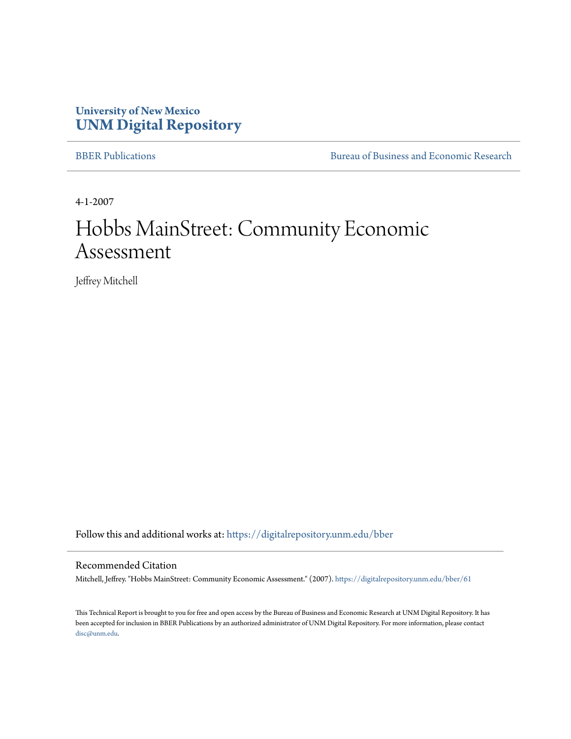## **University of New Mexico [UNM Digital Repository](https://digitalrepository.unm.edu?utm_source=digitalrepository.unm.edu%2Fbber%2F61&utm_medium=PDF&utm_campaign=PDFCoverPages)**

[BBER Publications](https://digitalrepository.unm.edu/bber?utm_source=digitalrepository.unm.edu%2Fbber%2F61&utm_medium=PDF&utm_campaign=PDFCoverPages) [Bureau of Business and Economic Research](https://digitalrepository.unm.edu/business_economic_research?utm_source=digitalrepository.unm.edu%2Fbber%2F61&utm_medium=PDF&utm_campaign=PDFCoverPages)

4-1-2007

# Hobbs MainStreet: Community Economic Assessment

Jeffrey Mitchell

Follow this and additional works at: [https://digitalrepository.unm.edu/bber](https://digitalrepository.unm.edu/bber?utm_source=digitalrepository.unm.edu%2Fbber%2F61&utm_medium=PDF&utm_campaign=PDFCoverPages)

#### Recommended Citation

Mitchell, Jeffrey. "Hobbs MainStreet: Community Economic Assessment." (2007). [https://digitalrepository.unm.edu/bber/61](https://digitalrepository.unm.edu/bber/61?utm_source=digitalrepository.unm.edu%2Fbber%2F61&utm_medium=PDF&utm_campaign=PDFCoverPages)

This Technical Report is brought to you for free and open access by the Bureau of Business and Economic Research at UNM Digital Repository. It has been accepted for inclusion in BBER Publications by an authorized administrator of UNM Digital Repository. For more information, please contact [disc@unm.edu](mailto:disc@unm.edu).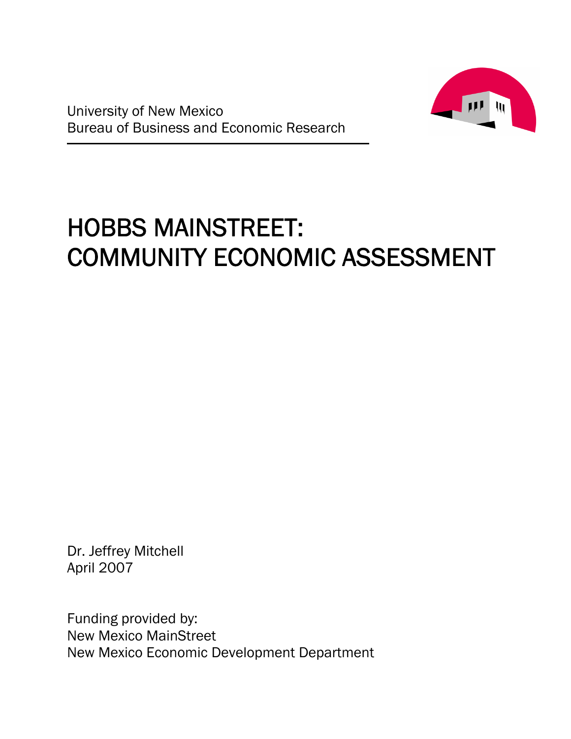



# HOBBS MAINSTREET: COMMUNITY ECONOMIC ASSESSMENT

Dr. Jeffrey Mitchell April 2007

Funding provided by: New Mexico MainStreet New Mexico Economic Development Department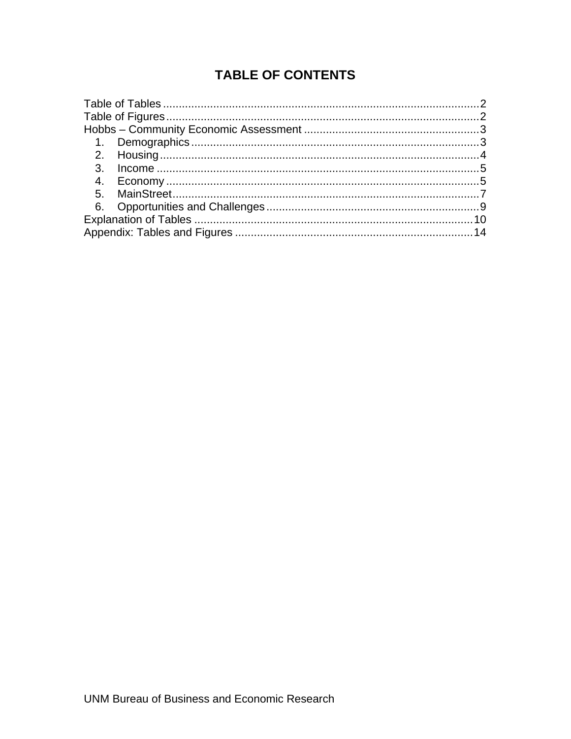## **TABLE OF CONTENTS**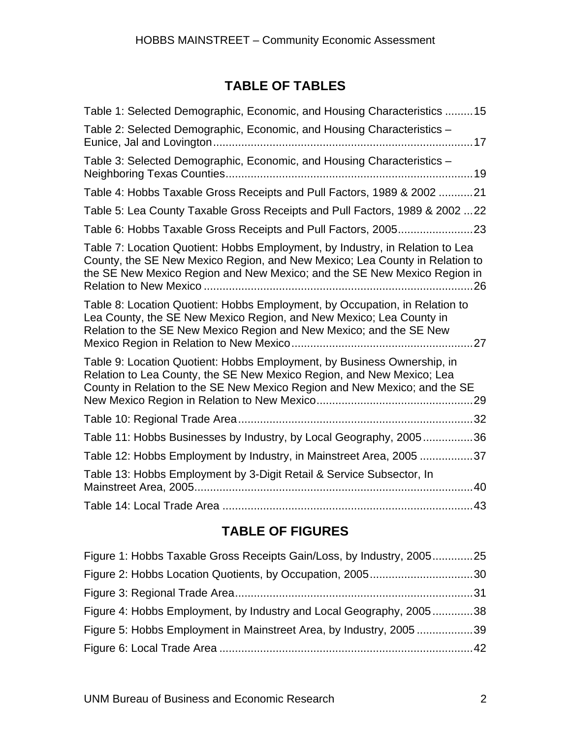## **TABLE OF TABLES**

| Table 1: Selected Demographic, Economic, and Housing Characteristics 15                                                                                                                                                                  |  |
|------------------------------------------------------------------------------------------------------------------------------------------------------------------------------------------------------------------------------------------|--|
| Table 2: Selected Demographic, Economic, and Housing Characteristics -                                                                                                                                                                   |  |
| Table 3: Selected Demographic, Economic, and Housing Characteristics -                                                                                                                                                                   |  |
| Table 4: Hobbs Taxable Gross Receipts and Pull Factors, 1989 & 2002 21                                                                                                                                                                   |  |
| Table 5: Lea County Taxable Gross Receipts and Pull Factors, 1989 & 2002 22                                                                                                                                                              |  |
|                                                                                                                                                                                                                                          |  |
| Table 7: Location Quotient: Hobbs Employment, by Industry, in Relation to Lea<br>County, the SE New Mexico Region, and New Mexico; Lea County in Relation to<br>the SE New Mexico Region and New Mexico; and the SE New Mexico Region in |  |
| Table 8: Location Quotient: Hobbs Employment, by Occupation, in Relation to<br>Lea County, the SE New Mexico Region, and New Mexico; Lea County in<br>Relation to the SE New Mexico Region and New Mexico; and the SE New<br>.27         |  |
| Table 9: Location Quotient: Hobbs Employment, by Business Ownership, in<br>Relation to Lea County, the SE New Mexico Region, and New Mexico; Lea<br>County in Relation to the SE New Mexico Region and New Mexico; and the SE            |  |
|                                                                                                                                                                                                                                          |  |
| Table 11: Hobbs Businesses by Industry, by Local Geography, 200536                                                                                                                                                                       |  |
| Table 12: Hobbs Employment by Industry, in Mainstreet Area, 2005 37                                                                                                                                                                      |  |
| Table 13: Hobbs Employment by 3-Digit Retail & Service Subsector, In                                                                                                                                                                     |  |
|                                                                                                                                                                                                                                          |  |

## **TABLE OF FIGURES**

| Figure 1: Hobbs Taxable Gross Receipts Gain/Loss, by Industry, 200525 |  |
|-----------------------------------------------------------------------|--|
|                                                                       |  |
|                                                                       |  |
| Figure 4: Hobbs Employment, by Industry and Local Geography, 200538   |  |
| Figure 5: Hobbs Employment in Mainstreet Area, by Industry, 2005 39   |  |
|                                                                       |  |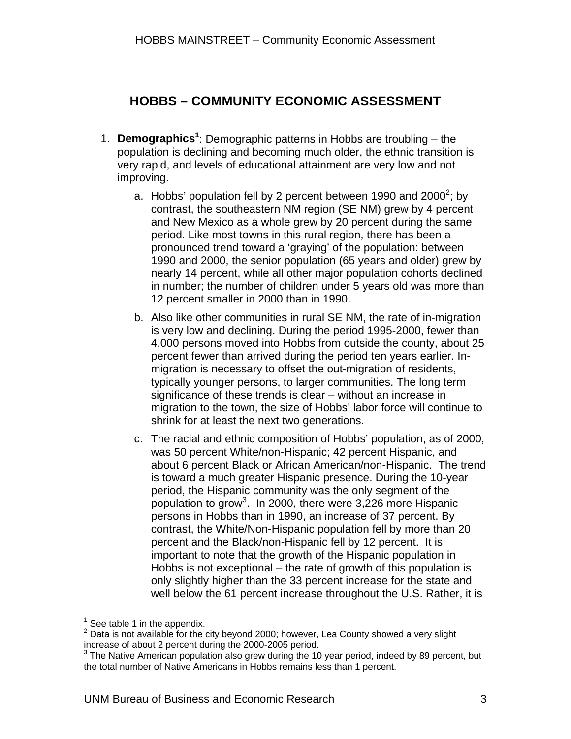## **HOBBS – COMMUNITY ECONOMIC ASSESSMENT**

- 1. **Demographics<sup>1</sup>** : Demographic patterns in Hobbs are troubling the population is declining and becoming much older, the ethnic transition is very rapid, and levels of educational attainment are very low and not improving.
	- a. Hobbs' population fell by 2 percent between 1990 and 2000<sup>2</sup>; by contrast, the southeastern NM region (SE NM) grew by 4 percent and New Mexico as a whole grew by 20 percent during the same period. Like most towns in this rural region, there has been a pronounced trend toward a 'graying' of the population: between 1990 and 2000, the senior population (65 years and older) grew by nearly 14 percent, while all other major population cohorts declined in number; the number of children under 5 years old was more than 12 percent smaller in 2000 than in 1990.
	- b. Also like other communities in rural SE NM, the rate of in-migration is very low and declining. During the period 1995-2000, fewer than 4,000 persons moved into Hobbs from outside the county, about 25 percent fewer than arrived during the period ten years earlier. Inmigration is necessary to offset the out-migration of residents, typically younger persons, to larger communities. The long term significance of these trends is clear – without an increase in migration to the town, the size of Hobbs' labor force will continue to shrink for at least the next two generations.
	- c. The racial and ethnic composition of Hobbs' population, as of 2000, was 50 percent White/non-Hispanic; 42 percent Hispanic, and about 6 percent Black or African American/non-Hispanic. The trend is toward a much greater Hispanic presence. During the 10-year period, the Hispanic community was the only segment of the population to grow<sup>3</sup>. In 2000, there were 3,226 more Hispanic persons in Hobbs than in 1990, an increase of 37 percent. By contrast, the White/Non-Hispanic population fell by more than 20 percent and the Black/non-Hispanic fell by 12 percent. It is important to note that the growth of the Hispanic population in Hobbs is not exceptional – the rate of growth of this population is only slightly higher than the 33 percent increase for the state and well below the 61 percent increase throughout the U.S. Rather, it is

 $\overline{a}$ 1 See table 1 in the appendix.

<sup>2</sup> Data is not available for the city beyond 2000; however, Lea County showed a very slight increase of about 2 percent during the 2000-2005 period. 3

The Native American population also grew during the 10 year period, indeed by 89 percent, but the total number of Native Americans in Hobbs remains less than 1 percent.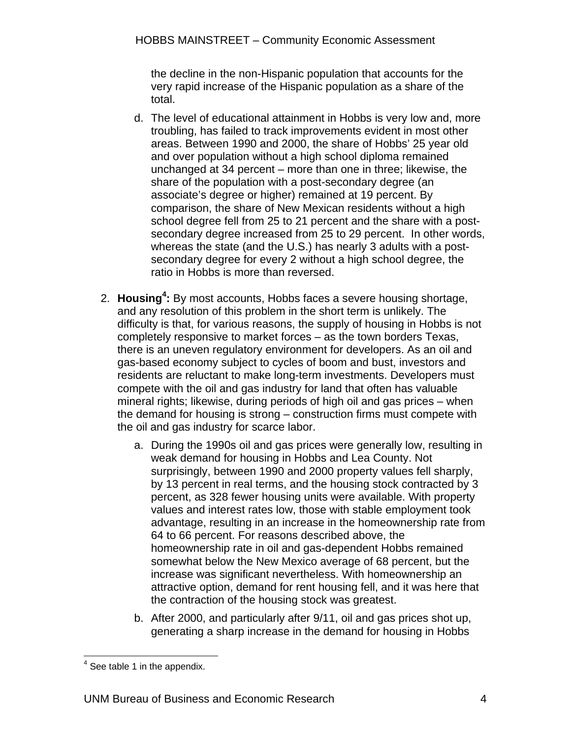the decline in the non-Hispanic population that accounts for the very rapid increase of the Hispanic population as a share of the total.

- d. The level of educational attainment in Hobbs is very low and, more troubling, has failed to track improvements evident in most other areas. Between 1990 and 2000, the share of Hobbs' 25 year old and over population without a high school diploma remained unchanged at 34 percent – more than one in three; likewise, the share of the population with a post-secondary degree (an associate's degree or higher) remained at 19 percent. By comparison, the share of New Mexican residents without a high school degree fell from 25 to 21 percent and the share with a postsecondary degree increased from 25 to 29 percent. In other words, whereas the state (and the U.S.) has nearly 3 adults with a postsecondary degree for every 2 without a high school degree, the ratio in Hobbs is more than reversed.
- 2. **Housing<sup>4</sup> :** By most accounts, Hobbs faces a severe housing shortage, and any resolution of this problem in the short term is unlikely. The difficulty is that, for various reasons, the supply of housing in Hobbs is not completely responsive to market forces – as the town borders Texas, there is an uneven regulatory environment for developers. As an oil and gas-based economy subject to cycles of boom and bust, investors and residents are reluctant to make long-term investments. Developers must compete with the oil and gas industry for land that often has valuable mineral rights; likewise, during periods of high oil and gas prices – when the demand for housing is strong – construction firms must compete with the oil and gas industry for scarce labor.
	- a. During the 1990s oil and gas prices were generally low, resulting in weak demand for housing in Hobbs and Lea County. Not surprisingly, between 1990 and 2000 property values fell sharply, by 13 percent in real terms, and the housing stock contracted by 3 percent, as 328 fewer housing units were available. With property values and interest rates low, those with stable employment took advantage, resulting in an increase in the homeownership rate from 64 to 66 percent. For reasons described above, the homeownership rate in oil and gas-dependent Hobbs remained somewhat below the New Mexico average of 68 percent, but the increase was significant nevertheless. With homeownership an attractive option, demand for rent housing fell, and it was here that the contraction of the housing stock was greatest.
	- b. After 2000, and particularly after 9/11, oil and gas prices shot up, generating a sharp increase in the demand for housing in Hobbs

<sup>1</sup>  $4$  See table 1 in the appendix.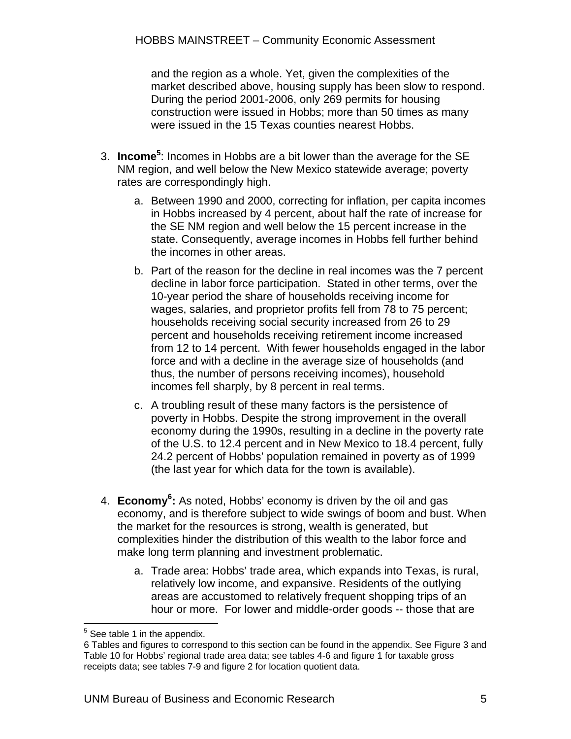and the region as a whole. Yet, given the complexities of the market described above, housing supply has been slow to respond. During the period 2001-2006, only 269 permits for housing construction were issued in Hobbs; more than 50 times as many were issued in the 15 Texas counties nearest Hobbs.

- 3. **Income**<sup>5</sup>: Incomes in Hobbs are a bit lower than the average for the SE NM region, and well below the New Mexico statewide average; poverty rates are correspondingly high.
	- a. Between 1990 and 2000, correcting for inflation, per capita incomes in Hobbs increased by 4 percent, about half the rate of increase for the SE NM region and well below the 15 percent increase in the state. Consequently, average incomes in Hobbs fell further behind the incomes in other areas.
	- b. Part of the reason for the decline in real incomes was the 7 percent decline in labor force participation. Stated in other terms, over the 10-year period the share of households receiving income for wages, salaries, and proprietor profits fell from 78 to 75 percent; households receiving social security increased from 26 to 29 percent and households receiving retirement income increased from 12 to 14 percent. With fewer households engaged in the labor force and with a decline in the average size of households (and thus, the number of persons receiving incomes), household incomes fell sharply, by 8 percent in real terms.
	- c. A troubling result of these many factors is the persistence of poverty in Hobbs. Despite the strong improvement in the overall economy during the 1990s, resulting in a decline in the poverty rate of the U.S. to 12.4 percent and in New Mexico to 18.4 percent, fully 24.2 percent of Hobbs' population remained in poverty as of 1999 (the last year for which data for the town is available).
- 4. **Economy6 :** As noted, Hobbs' economy is driven by the oil and gas economy, and is therefore subject to wide swings of boom and bust. When the market for the resources is strong, wealth is generated, but complexities hinder the distribution of this wealth to the labor force and make long term planning and investment problematic.
	- a. Trade area: Hobbs' trade area, which expands into Texas, is rural, relatively low income, and expansive. Residents of the outlying areas are accustomed to relatively frequent shopping trips of an hour or more. For lower and middle-order goods -- those that are

 5 See table 1 in the appendix.

<sup>6</sup> Tables and figures to correspond to this section can be found in the appendix. See Figure 3 and Table 10 for Hobbs' regional trade area data; see tables 4-6 and figure 1 for taxable gross receipts data; see tables 7-9 and figure 2 for location quotient data.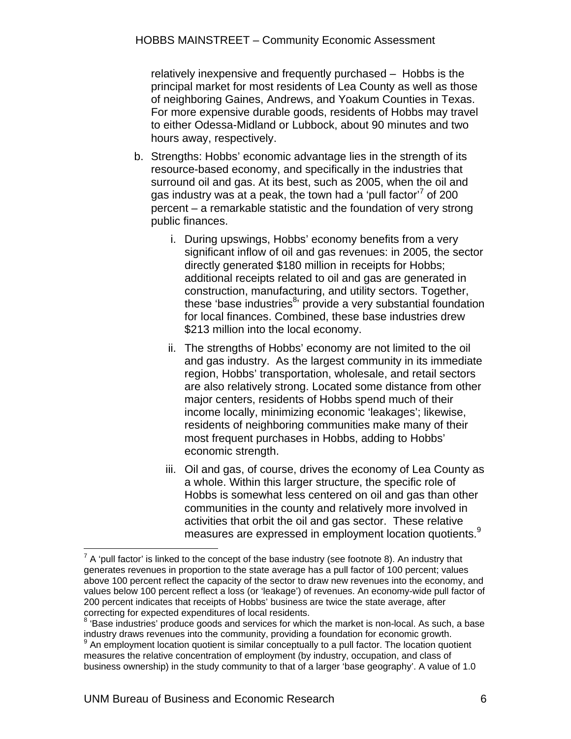relatively inexpensive and frequently purchased – Hobbs is the principal market for most residents of Lea County as well as those of neighboring Gaines, Andrews, and Yoakum Counties in Texas. For more expensive durable goods, residents of Hobbs may travel to either Odessa-Midland or Lubbock, about 90 minutes and two hours away, respectively.

- b. Strengths: Hobbs' economic advantage lies in the strength of its resource-based economy, and specifically in the industries that surround oil and gas. At its best, such as 2005, when the oil and gas industry was at a peak, the town had a 'pull factor'<sup>7</sup> of 200 percent – a remarkable statistic and the foundation of very strong public finances.
	- i. During upswings, Hobbs' economy benefits from a very significant inflow of oil and gas revenues: in 2005, the sector directly generated \$180 million in receipts for Hobbs; additional receipts related to oil and gas are generated in construction, manufacturing, and utility sectors. Together, these 'base industries<sup>8</sup>' provide a very substantial foundation for local finances. Combined, these base industries drew \$213 million into the local economy.
	- ii. The strengths of Hobbs' economy are not limited to the oil and gas industry. As the largest community in its immediate region, Hobbs' transportation, wholesale, and retail sectors are also relatively strong. Located some distance from other major centers, residents of Hobbs spend much of their income locally, minimizing economic 'leakages'; likewise, residents of neighboring communities make many of their most frequent purchases in Hobbs, adding to Hobbs' economic strength.
	- iii. Oil and gas, of course, drives the economy of Lea County as a whole. Within this larger structure, the specific role of Hobbs is somewhat less centered on oil and gas than other communities in the county and relatively more involved in activities that orbit the oil and gas sector. These relative measures are expressed in employment location quotients.<sup>9</sup>

1

 $7$  A 'pull factor' is linked to the concept of the base industry (see footnote 8). An industry that generates revenues in proportion to the state average has a pull factor of 100 percent; values above 100 percent reflect the capacity of the sector to draw new revenues into the economy, and values below 100 percent reflect a loss (or 'leakage') of revenues. An economy-wide pull factor of 200 percent indicates that receipts of Hobbs' business are twice the state average, after correcting for expected expenditures of local residents.

<sup>&</sup>lt;sup>8</sup> 'Base industries' produce goods and services for which the market is non-local. As such, a base industry draws revenues into the community, providing a foundation for economic growth. 9

 $9$  An employment location quotient is similar conceptually to a pull factor. The location quotient measures the relative concentration of employment (by industry, occupation, and class of business ownership) in the study community to that of a larger 'base geography'. A value of 1.0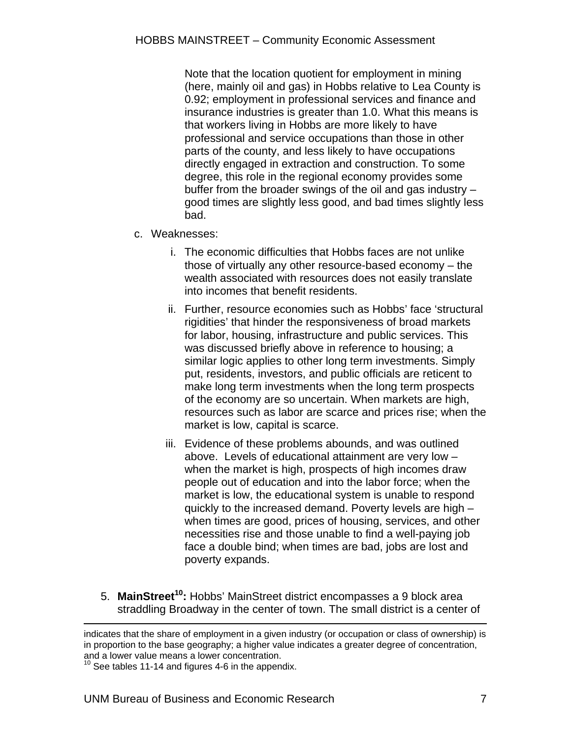Note that the location quotient for employment in mining (here, mainly oil and gas) in Hobbs relative to Lea County is 0.92; employment in professional services and finance and insurance industries is greater than 1.0. What this means is that workers living in Hobbs are more likely to have professional and service occupations than those in other parts of the county, and less likely to have occupations directly engaged in extraction and construction. To some degree, this role in the regional economy provides some buffer from the broader swings of the oil and gas industry – good times are slightly less good, and bad times slightly less bad.

- c. Weaknesses:
	- i. The economic difficulties that Hobbs faces are not unlike those of virtually any other resource-based economy – the wealth associated with resources does not easily translate into incomes that benefit residents.
	- ii. Further, resource economies such as Hobbs' face 'structural rigidities' that hinder the responsiveness of broad markets for labor, housing, infrastructure and public services. This was discussed briefly above in reference to housing; a similar logic applies to other long term investments. Simply put, residents, investors, and public officials are reticent to make long term investments when the long term prospects of the economy are so uncertain. When markets are high, resources such as labor are scarce and prices rise; when the market is low, capital is scarce.
	- iii. Evidence of these problems abounds, and was outlined above. Levels of educational attainment are very low – when the market is high, prospects of high incomes draw people out of education and into the labor force; when the market is low, the educational system is unable to respond quickly to the increased demand. Poverty levels are high – when times are good, prices of housing, services, and other necessities rise and those unable to find a well-paying job face a double bind; when times are bad, jobs are lost and poverty expands.
- 5. **MainStreet<sup>10</sup>:** Hobbs' MainStreet district encompasses a 9 block area straddling Broadway in the center of town. The small district is a center of

indicates that the share of employment in a given industry (or occupation or class of ownership) is in proportion to the base geography; a higher value indicates a greater degree of concentration, and a lower value means a lower concentration.

 $10$  See tables 11-14 and figures 4-6 in the appendix.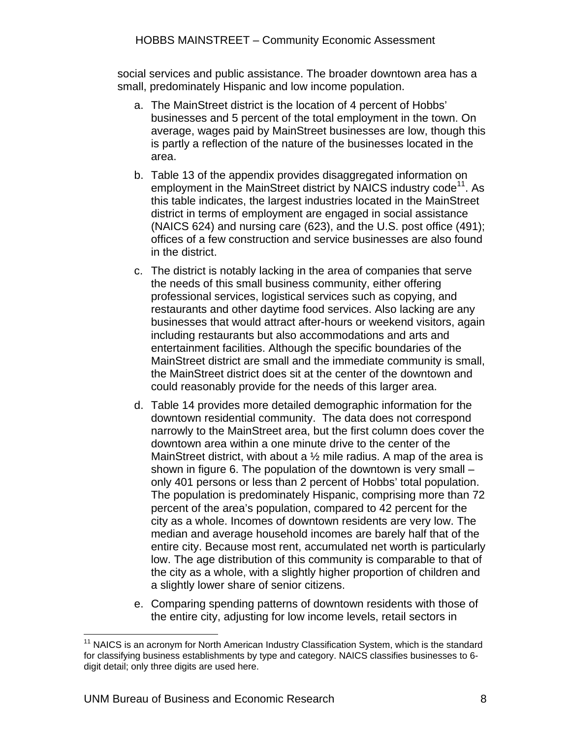social services and public assistance. The broader downtown area has a small, predominately Hispanic and low income population.

- a. The MainStreet district is the location of 4 percent of Hobbs' businesses and 5 percent of the total employment in the town. On average, wages paid by MainStreet businesses are low, though this is partly a reflection of the nature of the businesses located in the area.
- b. Table 13 of the appendix provides disaggregated information on employment in the MainStreet district by NAICS industry code<sup>11</sup>. As this table indicates, the largest industries located in the MainStreet district in terms of employment are engaged in social assistance (NAICS 624) and nursing care (623), and the U.S. post office (491); offices of a few construction and service businesses are also found in the district.
- c. The district is notably lacking in the area of companies that serve the needs of this small business community, either offering professional services, logistical services such as copying, and restaurants and other daytime food services. Also lacking are any businesses that would attract after-hours or weekend visitors, again including restaurants but also accommodations and arts and entertainment facilities. Although the specific boundaries of the MainStreet district are small and the immediate community is small, the MainStreet district does sit at the center of the downtown and could reasonably provide for the needs of this larger area.
- d. Table 14 provides more detailed demographic information for the downtown residential community. The data does not correspond narrowly to the MainStreet area, but the first column does cover the downtown area within a one minute drive to the center of the MainStreet district, with about a 1/2 mile radius. A map of the area is shown in figure 6. The population of the downtown is very small – only 401 persons or less than 2 percent of Hobbs' total population. The population is predominately Hispanic, comprising more than 72 percent of the area's population, compared to 42 percent for the city as a whole. Incomes of downtown residents are very low. The median and average household incomes are barely half that of the entire city. Because most rent, accumulated net worth is particularly low. The age distribution of this community is comparable to that of the city as a whole, with a slightly higher proportion of children and a slightly lower share of senior citizens.
- e. Comparing spending patterns of downtown residents with those of the entire city, adjusting for low income levels, retail sectors in

 $\overline{a}$  $11$  NAICS is an acronym for North American Industry Classification System, which is the standard for classifying business establishments by type and category. NAICS classifies businesses to 6 digit detail; only three digits are used here.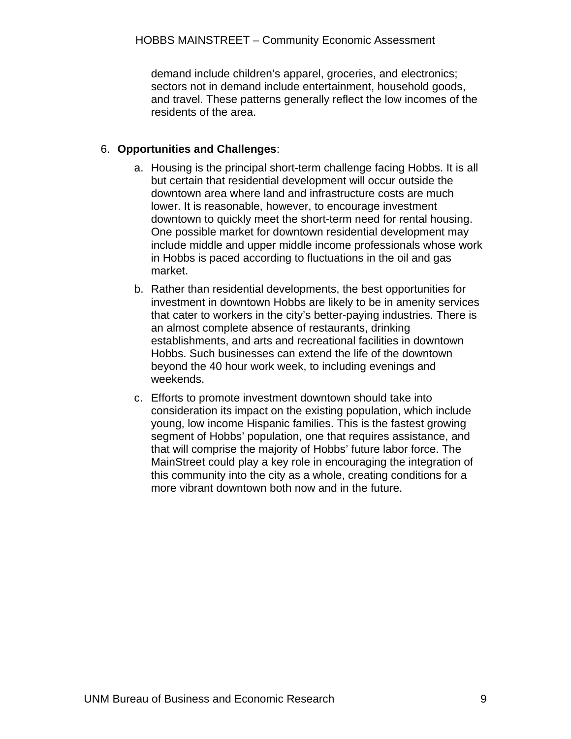demand include children's apparel, groceries, and electronics; sectors not in demand include entertainment, household goods, and travel. These patterns generally reflect the low incomes of the residents of the area.

#### 6. **Opportunities and Challenges**:

- a. Housing is the principal short-term challenge facing Hobbs. It is all but certain that residential development will occur outside the downtown area where land and infrastructure costs are much lower. It is reasonable, however, to encourage investment downtown to quickly meet the short-term need for rental housing. One possible market for downtown residential development may include middle and upper middle income professionals whose work in Hobbs is paced according to fluctuations in the oil and gas market.
- b. Rather than residential developments, the best opportunities for investment in downtown Hobbs are likely to be in amenity services that cater to workers in the city's better-paying industries. There is an almost complete absence of restaurants, drinking establishments, and arts and recreational facilities in downtown Hobbs. Such businesses can extend the life of the downtown beyond the 40 hour work week, to including evenings and weekends.
- c. Efforts to promote investment downtown should take into consideration its impact on the existing population, which include young, low income Hispanic families. This is the fastest growing segment of Hobbs' population, one that requires assistance, and that will comprise the majority of Hobbs' future labor force. The MainStreet could play a key role in encouraging the integration of this community into the city as a whole, creating conditions for a more vibrant downtown both now and in the future.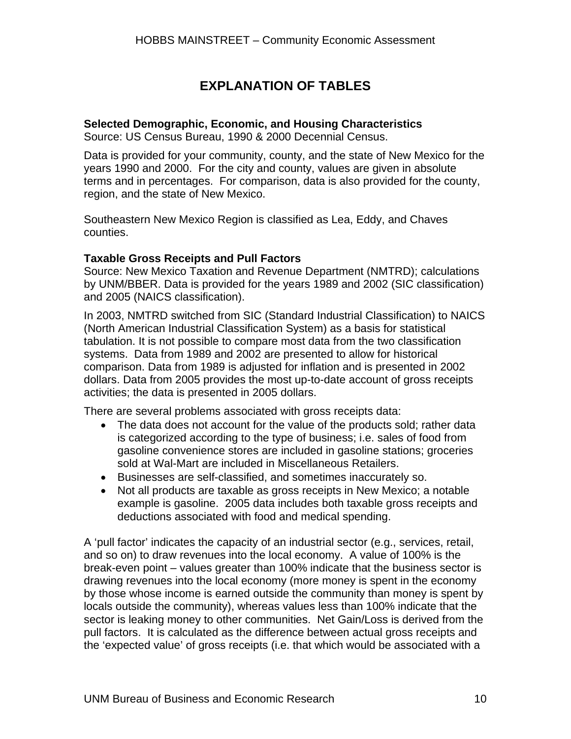## **EXPLANATION OF TABLES**

#### **Selected Demographic, Economic, and Housing Characteristics**

Source: US Census Bureau, 1990 & 2000 Decennial Census.

Data is provided for your community, county, and the state of New Mexico for the years 1990 and 2000. For the city and county, values are given in absolute terms and in percentages. For comparison, data is also provided for the county, region, and the state of New Mexico.

Southeastern New Mexico Region is classified as Lea, Eddy, and Chaves counties.

#### **Taxable Gross Receipts and Pull Factors**

Source: New Mexico Taxation and Revenue Department (NMTRD); calculations by UNM/BBER. Data is provided for the years 1989 and 2002 (SIC classification) and 2005 (NAICS classification).

In 2003, NMTRD switched from SIC (Standard Industrial Classification) to NAICS (North American Industrial Classification System) as a basis for statistical tabulation. It is not possible to compare most data from the two classification systems. Data from 1989 and 2002 are presented to allow for historical comparison. Data from 1989 is adjusted for inflation and is presented in 2002 dollars. Data from 2005 provides the most up-to-date account of gross receipts activities; the data is presented in 2005 dollars.

There are several problems associated with gross receipts data:

- The data does not account for the value of the products sold; rather data is categorized according to the type of business; i.e. sales of food from gasoline convenience stores are included in gasoline stations; groceries sold at Wal-Mart are included in Miscellaneous Retailers.
- Businesses are self-classified, and sometimes inaccurately so.
- Not all products are taxable as gross receipts in New Mexico; a notable example is gasoline. 2005 data includes both taxable gross receipts and deductions associated with food and medical spending.

A 'pull factor' indicates the capacity of an industrial sector (e.g., services, retail, and so on) to draw revenues into the local economy. A value of 100% is the break-even point – values greater than 100% indicate that the business sector is drawing revenues into the local economy (more money is spent in the economy by those whose income is earned outside the community than money is spent by locals outside the community), whereas values less than 100% indicate that the sector is leaking money to other communities. Net Gain/Loss is derived from the pull factors. It is calculated as the difference between actual gross receipts and the 'expected value' of gross receipts (i.e. that which would be associated with a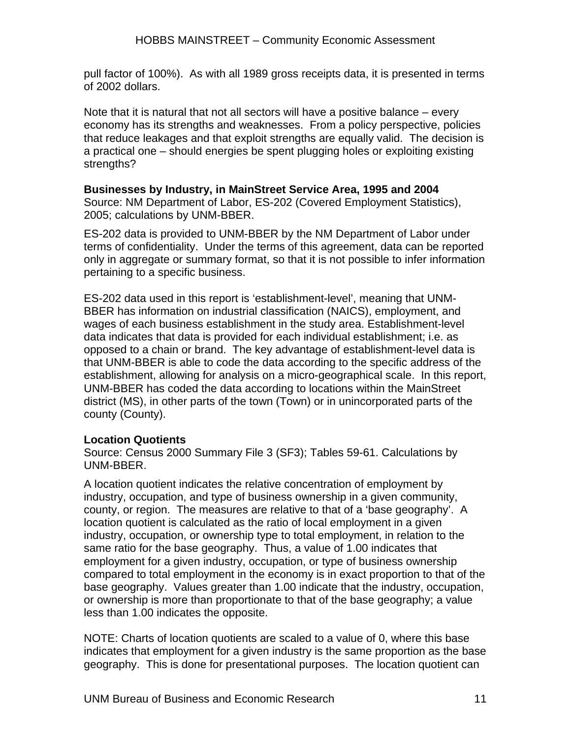pull factor of 100%). As with all 1989 gross receipts data, it is presented in terms of 2002 dollars.

Note that it is natural that not all sectors will have a positive balance – every economy has its strengths and weaknesses. From a policy perspective, policies that reduce leakages and that exploit strengths are equally valid. The decision is a practical one – should energies be spent plugging holes or exploiting existing strengths?

#### **Businesses by Industry, in MainStreet Service Area, 1995 and 2004**

Source: NM Department of Labor, ES-202 (Covered Employment Statistics), 2005; calculations by UNM-BBER.

ES-202 data is provided to UNM-BBER by the NM Department of Labor under terms of confidentiality. Under the terms of this agreement, data can be reported only in aggregate or summary format, so that it is not possible to infer information pertaining to a specific business.

ES-202 data used in this report is 'establishment-level', meaning that UNM-BBER has information on industrial classification (NAICS), employment, and wages of each business establishment in the study area. Establishment-level data indicates that data is provided for each individual establishment; i.e. as opposed to a chain or brand. The key advantage of establishment-level data is that UNM-BBER is able to code the data according to the specific address of the establishment, allowing for analysis on a micro-geographical scale. In this report, UNM-BBER has coded the data according to locations within the MainStreet district (MS), in other parts of the town (Town) or in unincorporated parts of the county (County).

#### **Location Quotients**

Source: Census 2000 Summary File 3 (SF3); Tables 59-61. Calculations by UNM-BBER.

A location quotient indicates the relative concentration of employment by industry, occupation, and type of business ownership in a given community, county, or region. The measures are relative to that of a 'base geography'. A location quotient is calculated as the ratio of local employment in a given industry, occupation, or ownership type to total employment, in relation to the same ratio for the base geography. Thus, a value of 1.00 indicates that employment for a given industry, occupation, or type of business ownership compared to total employment in the economy is in exact proportion to that of the base geography. Values greater than 1.00 indicate that the industry, occupation, or ownership is more than proportionate to that of the base geography; a value less than 1.00 indicates the opposite.

NOTE: Charts of location quotients are scaled to a value of 0, where this base indicates that employment for a given industry is the same proportion as the base geography. This is done for presentational purposes. The location quotient can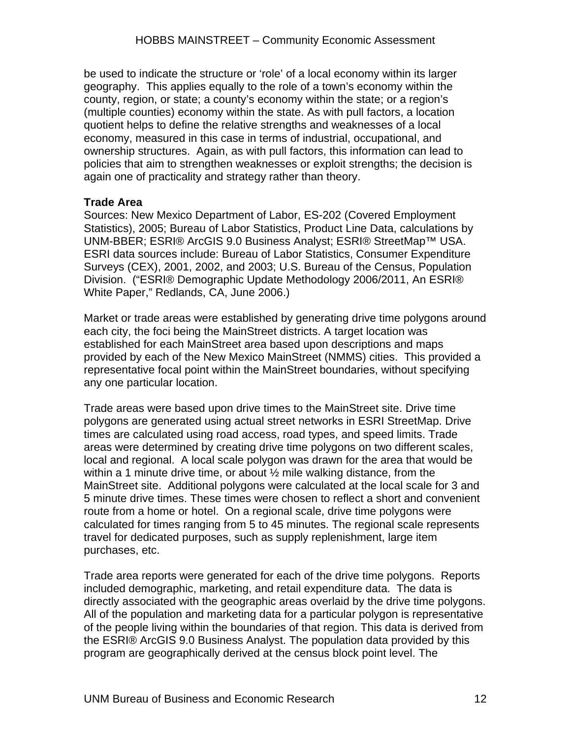be used to indicate the structure or 'role' of a local economy within its larger geography. This applies equally to the role of a town's economy within the county, region, or state; a county's economy within the state; or a region's (multiple counties) economy within the state. As with pull factors, a location quotient helps to define the relative strengths and weaknesses of a local economy, measured in this case in terms of industrial, occupational, and ownership structures. Again, as with pull factors, this information can lead to policies that aim to strengthen weaknesses or exploit strengths; the decision is again one of practicality and strategy rather than theory.

#### **Trade Area**

Sources: New Mexico Department of Labor, ES-202 (Covered Employment Statistics), 2005; Bureau of Labor Statistics, Product Line Data, calculations by UNM-BBER; ESRI® ArcGIS 9.0 Business Analyst; ESRI® StreetMap™ USA. ESRI data sources include: Bureau of Labor Statistics, Consumer Expenditure Surveys (CEX), 2001, 2002, and 2003; U.S. Bureau of the Census, Population Division. ("ESRI® Demographic Update Methodology 2006/2011, An ESRI® White Paper," Redlands, CA, June 2006.)

Market or trade areas were established by generating drive time polygons around each city, the foci being the MainStreet districts. A target location was established for each MainStreet area based upon descriptions and maps provided by each of the New Mexico MainStreet (NMMS) cities. This provided a representative focal point within the MainStreet boundaries, without specifying any one particular location.

Trade areas were based upon drive times to the MainStreet site. Drive time polygons are generated using actual street networks in ESRI StreetMap. Drive times are calculated using road access, road types, and speed limits. Trade areas were determined by creating drive time polygons on two different scales, local and regional. A local scale polygon was drawn for the area that would be within a 1 minute drive time, or about  $\frac{1}{2}$  mile walking distance, from the MainStreet site. Additional polygons were calculated at the local scale for 3 and 5 minute drive times. These times were chosen to reflect a short and convenient route from a home or hotel. On a regional scale, drive time polygons were calculated for times ranging from 5 to 45 minutes. The regional scale represents travel for dedicated purposes, such as supply replenishment, large item purchases, etc.

Trade area reports were generated for each of the drive time polygons. Reports included demographic, marketing, and retail expenditure data. The data is directly associated with the geographic areas overlaid by the drive time polygons. All of the population and marketing data for a particular polygon is representative of the people living within the boundaries of that region. This data is derived from the ESRI® ArcGIS 9.0 Business Analyst. The population data provided by this program are geographically derived at the census block point level. The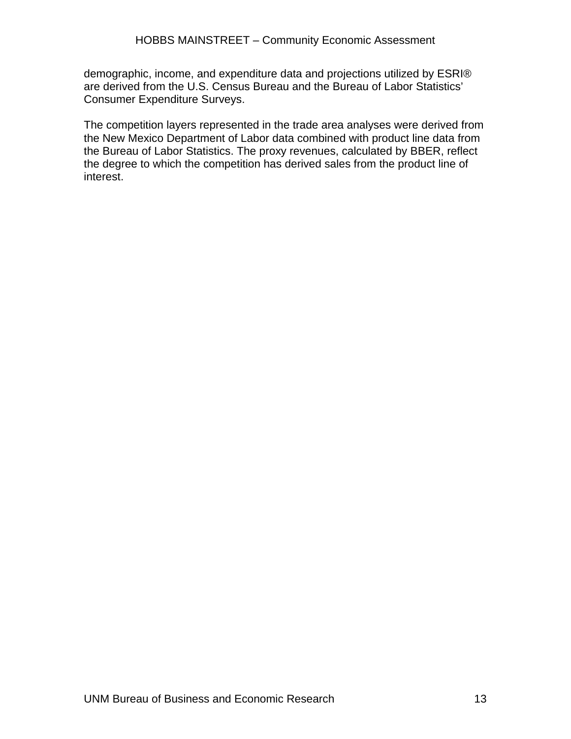demographic, income, and expenditure data and projections utilized by ESRI® are derived from the U.S. Census Bureau and the Bureau of Labor Statistics' Consumer Expenditure Surveys.

The competition layers represented in the trade area analyses were derived from the New Mexico Department of Labor data combined with product line data from the Bureau of Labor Statistics. The proxy revenues, calculated by BBER, reflect the degree to which the competition has derived sales from the product line of interest.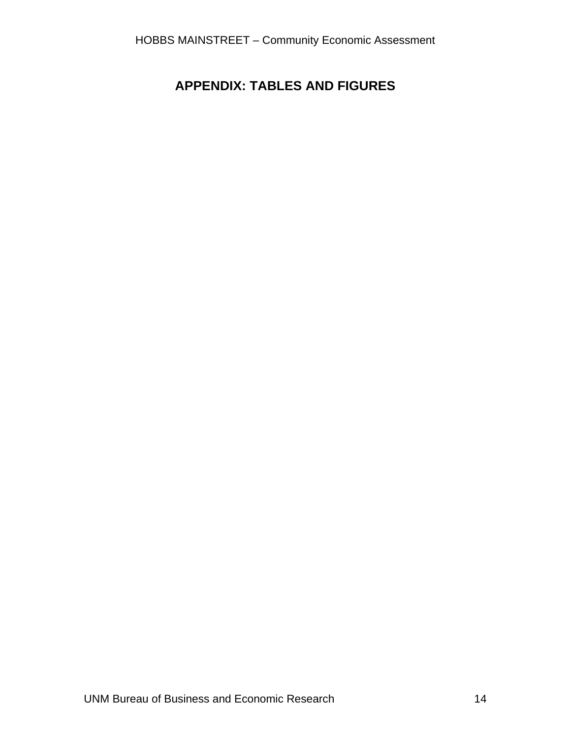## **APPENDIX: TABLES AND FIGURES**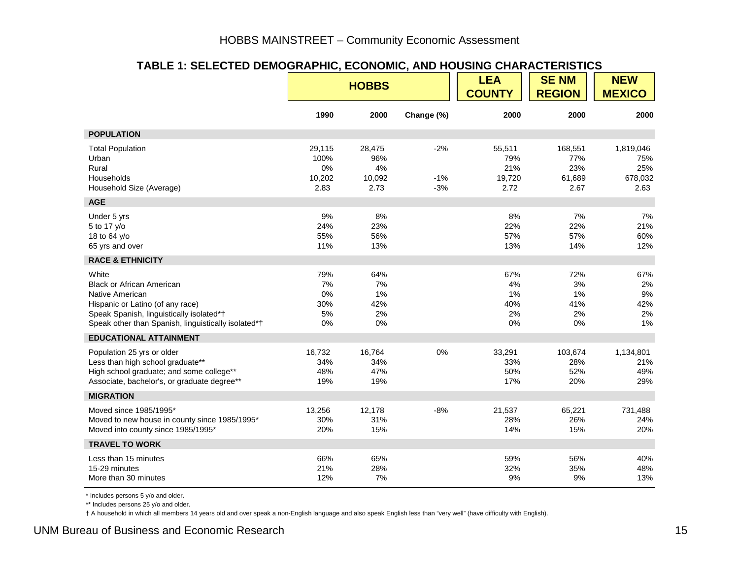#### **TABLE 1: SELECTED DEMOGRAPHIC, ECONOMIC, AND HOUSING CHARACTERISTICS**

|                                                                                                                                                                                                     |                                        | <b>HOBBS</b>                          |                         | <b>LEA</b><br><b>COUNTY</b>            | <b>SENM</b><br><b>REGION</b>            | <b>NEW</b><br><b>MEXICO</b>                |
|-----------------------------------------------------------------------------------------------------------------------------------------------------------------------------------------------------|----------------------------------------|---------------------------------------|-------------------------|----------------------------------------|-----------------------------------------|--------------------------------------------|
|                                                                                                                                                                                                     | 1990                                   | 2000                                  | Change (%)              | 2000                                   | 2000                                    | 2000                                       |
| <b>POPULATION</b>                                                                                                                                                                                   |                                        |                                       |                         |                                        |                                         |                                            |
| <b>Total Population</b><br>Urban<br>Rural<br>Households<br>Household Size (Average)                                                                                                                 | 29,115<br>100%<br>0%<br>10,202<br>2.83 | 28,475<br>96%<br>4%<br>10,092<br>2.73 | $-2%$<br>$-1%$<br>$-3%$ | 55,511<br>79%<br>21%<br>19,720<br>2.72 | 168,551<br>77%<br>23%<br>61,689<br>2.67 | 1,819,046<br>75%<br>25%<br>678,032<br>2.63 |
| <b>AGE</b>                                                                                                                                                                                          |                                        |                                       |                         |                                        |                                         |                                            |
| Under 5 yrs<br>5 to 17 y/o<br>18 to 64 y/o<br>65 yrs and over                                                                                                                                       | 9%<br>24%<br>55%<br>11%                | 8%<br>23%<br>56%<br>13%               |                         | 8%<br>22%<br>57%<br>13%                | 7%<br>22%<br>57%<br>14%                 | 7%<br>21%<br>60%<br>12%                    |
| <b>RACE &amp; ETHNICITY</b>                                                                                                                                                                         |                                        |                                       |                         |                                        |                                         |                                            |
| White<br><b>Black or African American</b><br>Native American<br>Hispanic or Latino (of any race)<br>Speak Spanish, linguistically isolated*†<br>Speak other than Spanish, linguistically isolated*† | 79%<br>7%<br>0%<br>30%<br>5%<br>0%     | 64%<br>7%<br>1%<br>42%<br>2%<br>0%    |                         | 67%<br>4%<br>1%<br>40%<br>2%<br>0%     | 72%<br>3%<br>1%<br>41%<br>2%<br>0%      | 67%<br>2%<br>9%<br>42%<br>2%<br>1%         |
| <b>EDUCATIONAL ATTAINMENT</b>                                                                                                                                                                       |                                        |                                       |                         |                                        |                                         |                                            |
| Population 25 yrs or older<br>Less than high school graduate**<br>High school graduate; and some college**<br>Associate, bachelor's, or graduate degree**                                           | 16,732<br>34%<br>48%<br>19%            | 16,764<br>34%<br>47%<br>19%           | 0%                      | 33,291<br>33%<br>50%<br>17%            | 103,674<br>28%<br>52%<br>20%            | 1,134,801<br>21%<br>49%<br>29%             |
| <b>MIGRATION</b>                                                                                                                                                                                    |                                        |                                       |                         |                                        |                                         |                                            |
| Moved since 1985/1995*<br>Moved to new house in county since 1985/1995*<br>Moved into county since 1985/1995*                                                                                       | 13,256<br>30%<br>20%                   | 12,178<br>31%<br>15%                  | $-8%$                   | 21,537<br>28%<br>14%                   | 65,221<br>26%<br>15%                    | 731,488<br>24%<br>20%                      |
| <b>TRAVEL TO WORK</b>                                                                                                                                                                               |                                        |                                       |                         |                                        |                                         |                                            |
| Less than 15 minutes<br>15-29 minutes<br>More than 30 minutes                                                                                                                                       | 66%<br>21%<br>12%                      | 65%<br>28%<br>7%                      |                         | 59%<br>32%<br>9%                       | 56%<br>35%<br>$9\%$                     | 40%<br>48%<br>13%                          |

\* Includes persons 5 y/o and older.

\*\* Includes persons 25 y/o and older.

† A household in which all members 14 years old and over speak a non-English language and also speak English less than "very well" (have difficulty with English).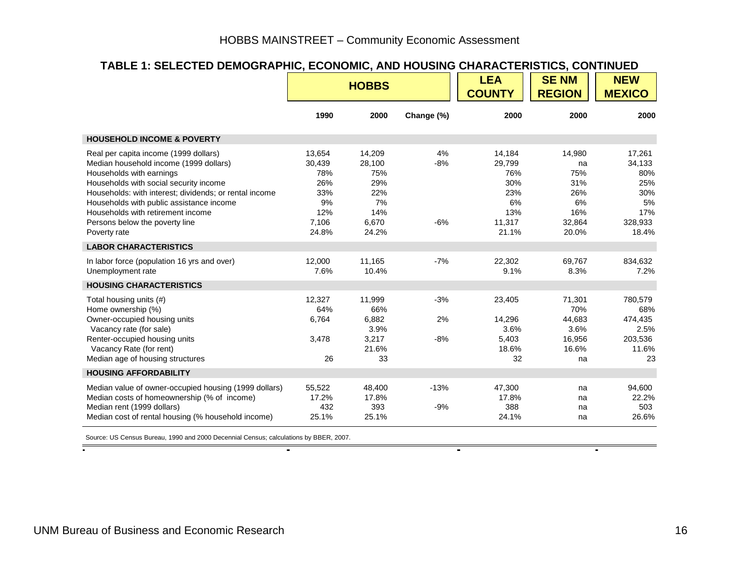#### **TABLE 1: SELECTED DEMOGRAPHIC, ECONOMIC, AND HOUSING CHARACTERISTICS, CONTINUED**

|                                                                                                                                                                                                                                                                                                                                                    |                                                                      | <b>HOBBS</b>                                                         |                      | <b>LEA</b><br><b>COUNTY</b>                                           | <b>SENM</b><br><b>REGION</b>                                      | <b>NEW</b><br><b>MEXICO</b>                                            |
|----------------------------------------------------------------------------------------------------------------------------------------------------------------------------------------------------------------------------------------------------------------------------------------------------------------------------------------------------|----------------------------------------------------------------------|----------------------------------------------------------------------|----------------------|-----------------------------------------------------------------------|-------------------------------------------------------------------|------------------------------------------------------------------------|
|                                                                                                                                                                                                                                                                                                                                                    | 1990                                                                 | 2000                                                                 | Change (%)           | 2000                                                                  | 2000                                                              | 2000                                                                   |
| <b>HOUSEHOLD INCOME &amp; POVERTY</b>                                                                                                                                                                                                                                                                                                              |                                                                      |                                                                      |                      |                                                                       |                                                                   |                                                                        |
| Real per capita income (1999 dollars)<br>Median household income (1999 dollars)<br>Households with earnings<br>Households with social security income<br>Households: with interest; dividends; or rental income<br>Households with public assistance income<br>Households with retirement income<br>Persons below the poverty line<br>Poverty rate | 13,654<br>30,439<br>78%<br>26%<br>33%<br>9%<br>12%<br>7,106<br>24.8% | 14,209<br>28,100<br>75%<br>29%<br>22%<br>7%<br>14%<br>6,670<br>24.2% | 4%<br>$-8%$<br>$-6%$ | 14,184<br>29,799<br>76%<br>30%<br>23%<br>6%<br>13%<br>11,317<br>21.1% | 14,980<br>na<br>75%<br>31%<br>26%<br>6%<br>16%<br>32,864<br>20.0% | 17,261<br>34,133<br>80%<br>25%<br>30%<br>5%<br>17%<br>328,933<br>18.4% |
| <b>LABOR CHARACTERISTICS</b>                                                                                                                                                                                                                                                                                                                       |                                                                      |                                                                      |                      |                                                                       |                                                                   |                                                                        |
| In labor force (population 16 yrs and over)<br>Unemployment rate                                                                                                                                                                                                                                                                                   | 12,000<br>7.6%                                                       | 11,165<br>10.4%                                                      | $-7%$                | 22,302<br>9.1%                                                        | 69,767<br>8.3%                                                    | 834,632<br>7.2%                                                        |
| <b>HOUSING CHARACTERISTICS</b>                                                                                                                                                                                                                                                                                                                     |                                                                      |                                                                      |                      |                                                                       |                                                                   |                                                                        |
| Total housing units (#)<br>Home ownership (%)<br>Owner-occupied housing units<br>Vacancy rate (for sale)<br>Renter-occupied housing units<br>Vacancy Rate (for rent)<br>Median age of housing structures                                                                                                                                           | 12.327<br>64%<br>6,764<br>3,478<br>26                                | 11,999<br>66%<br>6,882<br>3.9%<br>3,217<br>21.6%<br>33               | $-3%$<br>2%<br>$-8%$ | 23,405<br>14,296<br>3.6%<br>5,403<br>18.6%<br>32                      | 71,301<br>70%<br>44,683<br>3.6%<br>16,956<br>16.6%<br>na          | 780,579<br>68%<br>474,435<br>2.5%<br>203,536<br>11.6%<br>23            |
| <b>HOUSING AFFORDABILITY</b>                                                                                                                                                                                                                                                                                                                       |                                                                      |                                                                      |                      |                                                                       |                                                                   |                                                                        |
| Median value of owner-occupied housing (1999 dollars)<br>Median costs of homeownership (% of income)<br>Median rent (1999 dollars)<br>Median cost of rental housing (% household income)                                                                                                                                                           | 55,522<br>17.2%<br>432<br>25.1%                                      | 48.400<br>17.8%<br>393<br>25.1%                                      | $-13%$<br>$-9%$      | 47,300<br>17.8%<br>388<br>24.1%                                       | na<br>na<br>na<br>na                                              | 94,600<br>22.2%<br>503<br>26.6%                                        |

 $\blacksquare$ 

Source: US Census Bureau, 1990 and 2000 Decennial Census; calculations by BBER, 2007.

 $\sim$ 

 $\sim$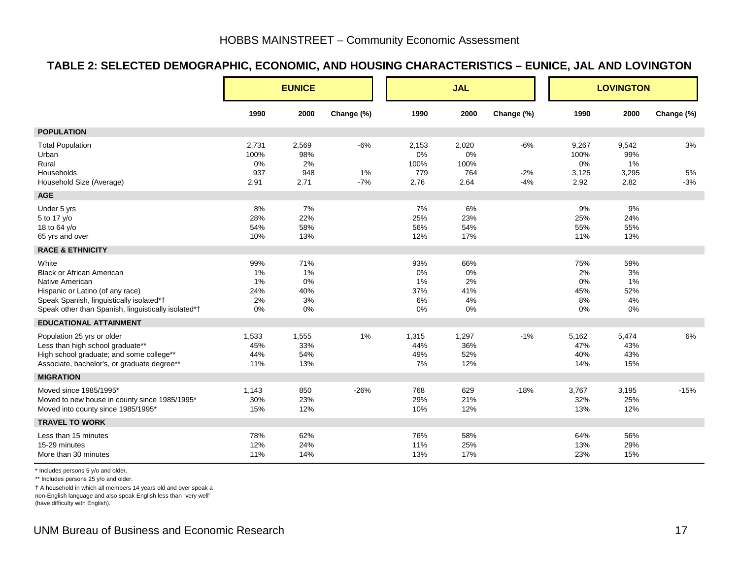#### **TABLE 2: SELECTED DEMOGRAPHIC, ECONOMIC, AND HOUSING CHARACTERISTICS – EUNICE, JAL AND LOVINGTON**

|                                                                                                                                                                                                     |                                    | <b>EUNICE</b>                      |                      |                                    | <b>JAL</b>                         |                         | <b>LOVINGTON</b>                     |                                     |                   |
|-----------------------------------------------------------------------------------------------------------------------------------------------------------------------------------------------------|------------------------------------|------------------------------------|----------------------|------------------------------------|------------------------------------|-------------------------|--------------------------------------|-------------------------------------|-------------------|
|                                                                                                                                                                                                     | 1990                               | 2000                               | Change (%)           | 1990                               | 2000                               | Change (%)              | 1990                                 | 2000                                | Change (%)        |
| <b>POPULATION</b>                                                                                                                                                                                   |                                    |                                    |                      |                                    |                                    |                         |                                      |                                     |                   |
| <b>Total Population</b><br>Urban<br>Rural<br>Households<br>Household Size (Average)                                                                                                                 | 2,731<br>100%<br>0%<br>937<br>2.91 | 2,569<br>98%<br>2%<br>948<br>2.71  | $-6%$<br>1%<br>$-7%$ | 2,153<br>0%<br>100%<br>779<br>2.76 | 2,020<br>0%<br>100%<br>764<br>2.64 | $-6%$<br>$-2%$<br>$-4%$ | 9,267<br>100%<br>0%<br>3,125<br>2.92 | 9,542<br>99%<br>1%<br>3,295<br>2.82 | 3%<br>5%<br>$-3%$ |
| <b>AGE</b>                                                                                                                                                                                          |                                    |                                    |                      |                                    |                                    |                         |                                      |                                     |                   |
| Under 5 yrs<br>5 to 17 y/o<br>18 to 64 y/o<br>65 yrs and over                                                                                                                                       | 8%<br>28%<br>54%<br>10%            | 7%<br>22%<br>58%<br>13%            |                      | 7%<br>25%<br>56%<br>12%            | 6%<br>23%<br>54%<br>17%            |                         | 9%<br>25%<br>55%<br>11%              | 9%<br>24%<br>55%<br>13%             |                   |
| <b>RACE &amp; ETHNICITY</b>                                                                                                                                                                         |                                    |                                    |                      |                                    |                                    |                         |                                      |                                     |                   |
| White<br><b>Black or African American</b><br>Native American<br>Hispanic or Latino (of any race)<br>Speak Spanish, linguistically isolated*†<br>Speak other than Spanish, linguistically isolated*† | 99%<br>1%<br>1%<br>24%<br>2%<br>0% | 71%<br>1%<br>0%<br>40%<br>3%<br>0% |                      | 93%<br>0%<br>1%<br>37%<br>6%<br>0% | 66%<br>0%<br>2%<br>41%<br>4%<br>0% |                         | 75%<br>2%<br>0%<br>45%<br>8%<br>0%   | 59%<br>3%<br>1%<br>52%<br>4%<br>0%  |                   |
| <b>EDUCATIONAL ATTAINMENT</b>                                                                                                                                                                       |                                    |                                    |                      |                                    |                                    |                         |                                      |                                     |                   |
| Population 25 yrs or older<br>Less than high school graduate**<br>High school graduate; and some college**<br>Associate, bachelor's, or graduate degree**                                           | 1,533<br>45%<br>44%<br>11%         | 1,555<br>33%<br>54%<br>13%         | $1\%$                | 1,315<br>44%<br>49%<br>7%          | 1,297<br>36%<br>52%<br>12%         | $-1%$                   | 5,162<br>47%<br>40%<br>14%           | 5,474<br>43%<br>43%<br>15%          | 6%                |
| <b>MIGRATION</b>                                                                                                                                                                                    |                                    |                                    |                      |                                    |                                    |                         |                                      |                                     |                   |
| Moved since 1985/1995*<br>Moved to new house in county since 1985/1995*<br>Moved into county since 1985/1995*                                                                                       | 1,143<br>30%<br>15%                | 850<br>23%<br>12%                  | $-26%$               | 768<br>29%<br>10%                  | 629<br>21%<br>12%                  | $-18%$                  | 3,767<br>32%<br>13%                  | 3,195<br>25%<br>12%                 | $-15%$            |
| <b>TRAVEL TO WORK</b>                                                                                                                                                                               |                                    |                                    |                      |                                    |                                    |                         |                                      |                                     |                   |
| Less than 15 minutes<br>15-29 minutes<br>More than 30 minutes                                                                                                                                       | 78%<br>12%<br>11%                  | 62%<br>24%<br>14%                  |                      | 76%<br>11%<br>13%                  | 58%<br>25%<br>17%                  |                         | 64%<br>13%<br>23%                    | 56%<br>29%<br>15%                   |                   |

\* Includes persons 5 y/o and older.

\*\* Includes persons 25 y/o and older.

† A household in which all members 14 years old and over speak a

non-English language and also speak English less than "very well"

(have difficulty with English).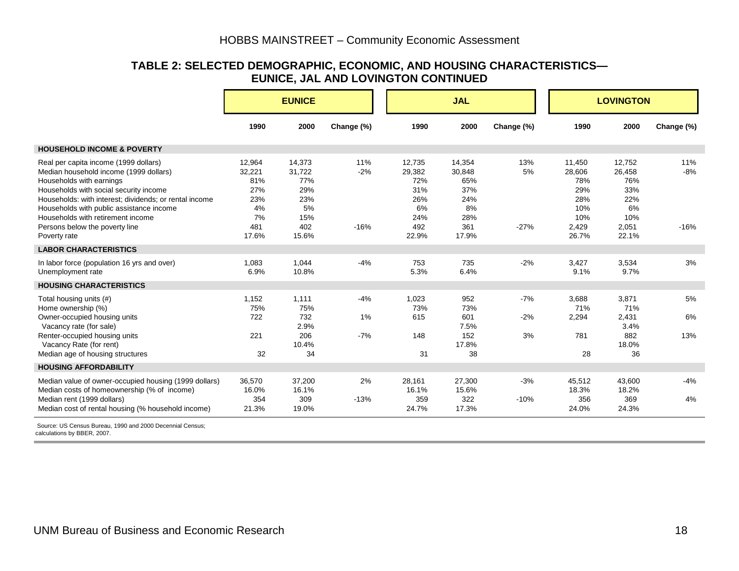#### **TABLE 2: SELECTED DEMOGRAPHIC, ECONOMIC, AND HOUSING CHARACTERISTICS— EUNICE, JAL AND LOVINGTON CONTINUED**

|                                                                                                                                                                                                                                                                                                  | <b>EUNICE</b>                                     |                                                    |                |                                                    | <b>JAL</b>                                         |                |                                                     | <b>LOVINGTON</b>                                   |            |
|--------------------------------------------------------------------------------------------------------------------------------------------------------------------------------------------------------------------------------------------------------------------------------------------------|---------------------------------------------------|----------------------------------------------------|----------------|----------------------------------------------------|----------------------------------------------------|----------------|-----------------------------------------------------|----------------------------------------------------|------------|
|                                                                                                                                                                                                                                                                                                  | 1990                                              | 2000                                               | Change (%)     | 1990                                               | 2000                                               | Change (%)     | 1990                                                | 2000                                               | Change (%) |
| <b>HOUSEHOLD INCOME &amp; POVERTY</b>                                                                                                                                                                                                                                                            |                                                   |                                                    |                |                                                    |                                                    |                |                                                     |                                                    |            |
| Real per capita income (1999 dollars)<br>Median household income (1999 dollars)<br>Households with earnings<br>Households with social security income<br>Households: with interest; dividends; or rental income<br>Households with public assistance income<br>Households with retirement income | 12,964<br>32,221<br>81%<br>27%<br>23%<br>4%<br>7% | 14,373<br>31,722<br>77%<br>29%<br>23%<br>5%<br>15% | 11%<br>$-2%$   | 12,735<br>29,382<br>72%<br>31%<br>26%<br>6%<br>24% | 14,354<br>30,848<br>65%<br>37%<br>24%<br>8%<br>28% | 13%<br>5%      | 11,450<br>28,606<br>78%<br>29%<br>28%<br>10%<br>10% | 12,752<br>26,458<br>76%<br>33%<br>22%<br>6%<br>10% | 11%<br>-8% |
| Persons below the poverty line<br>Poverty rate                                                                                                                                                                                                                                                   | 481<br>17.6%                                      | 402<br>15.6%                                       | $-16%$         | 492<br>22.9%                                       | 361<br>17.9%                                       | $-27%$         | 2,429<br>26.7%                                      | 2,051<br>22.1%                                     | $-16%$     |
| <b>LABOR CHARACTERISTICS</b>                                                                                                                                                                                                                                                                     |                                                   |                                                    |                |                                                    |                                                    |                |                                                     |                                                    |            |
| In labor force (population 16 yrs and over)<br>Unemployment rate                                                                                                                                                                                                                                 | 1.083<br>6.9%                                     | 1,044<br>10.8%                                     | $-4%$          | 753<br>5.3%                                        | 735<br>6.4%                                        | $-2%$          | 3.427<br>9.1%                                       | 3,534<br>9.7%                                      | 3%         |
| <b>HOUSING CHARACTERISTICS</b>                                                                                                                                                                                                                                                                   |                                                   |                                                    |                |                                                    |                                                    |                |                                                     |                                                    |            |
| Total housing units (#)<br>Home ownership (%)<br>Owner-occupied housing units                                                                                                                                                                                                                    | 1,152<br>75%<br>722                               | 1,111<br>75%<br>732                                | $-4%$<br>$1\%$ | 1,023<br>73%<br>615                                | 952<br>73%<br>601                                  | $-7%$<br>$-2%$ | 3,688<br>71%<br>2,294                               | 3,871<br>71%<br>2,431                              | 5%<br>6%   |
| Vacancy rate (for sale)<br>Renter-occupied housing units<br>Vacancy Rate (for rent)<br>Median age of housing structures                                                                                                                                                                          | 221<br>32                                         | 2.9%<br>206<br>10.4%<br>34                         | $-7%$          | 148<br>31                                          | 7.5%<br>152<br>17.8%<br>38                         | 3%             | 781<br>28                                           | 3.4%<br>882<br>18.0%<br>36                         | 13%        |
| <b>HOUSING AFFORDABILITY</b>                                                                                                                                                                                                                                                                     |                                                   |                                                    |                |                                                    |                                                    |                |                                                     |                                                    |            |
| Median value of owner-occupied housing (1999 dollars)<br>Median costs of homeownership (% of income)                                                                                                                                                                                             | 36,570<br>16.0%                                   | 37,200<br>16.1%                                    | 2%             | 28,161<br>16.1%                                    | 27,300<br>15.6%                                    | $-3%$          | 45,512<br>18.3%                                     | 43.600<br>18.2%                                    | $-4%$      |
| Median rent (1999 dollars)<br>Median cost of rental housing (% household income)                                                                                                                                                                                                                 | 354<br>21.3%                                      | 309<br>19.0%                                       | $-13%$         | 359<br>24.7%                                       | 322<br>17.3%                                       | $-10%$         | 356<br>24.0%                                        | 369<br>24.3%                                       | 4%         |

 Source: US Census Bureau, 1990 and 2000 Decennial Census; calculations by BBER, 2007.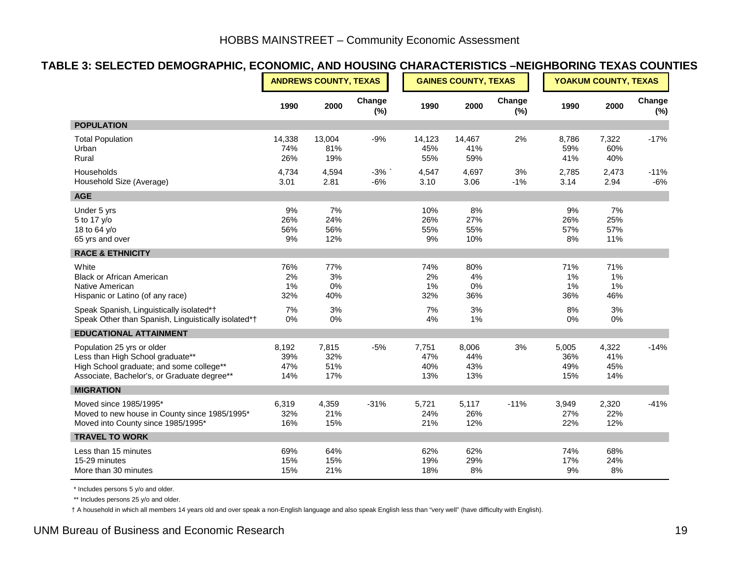#### **TABLE 3: SELECTED DEMOGRAPHIC, ECONOMIC, AND HOUSING CHARACTERISTICS –NEIGHBORING TEXAS COUNTIES**

|                                                                                                                                                           |                            | <b>ANDREWS COUNTY, TEXAS</b> |                |                            | <b>GAINES COUNTY, TEXAS</b> |               |                            |                            | YOAKUM COUNTY, TEXAS |  |
|-----------------------------------------------------------------------------------------------------------------------------------------------------------|----------------------------|------------------------------|----------------|----------------------------|-----------------------------|---------------|----------------------------|----------------------------|----------------------|--|
|                                                                                                                                                           | 1990                       | 2000                         | Change<br>(%)  | 1990                       | 2000                        | Change<br>(%) | 1990                       | 2000                       | Change<br>(%)        |  |
| <b>POPULATION</b>                                                                                                                                         |                            |                              |                |                            |                             |               |                            |                            |                      |  |
| <b>Total Population</b><br>Urban<br>Rural                                                                                                                 | 14,338<br>74%<br>26%       | 13,004<br>81%<br>19%         | $-9%$          | 14,123<br>45%<br>55%       | 14,467<br>41%<br>59%        | 2%            | 8,786<br>59%<br>41%        | 7,322<br>60%<br>40%        | $-17%$               |  |
| Households<br>Household Size (Average)                                                                                                                    | 4,734<br>3.01              | 4,594<br>2.81                | $-3%$<br>$-6%$ | 4,547<br>3.10              | 4,697<br>3.06               | 3%<br>$-1%$   | 2,785<br>3.14              | 2,473<br>2.94              | $-11%$<br>$-6%$      |  |
| <b>AGE</b>                                                                                                                                                |                            |                              |                |                            |                             |               |                            |                            |                      |  |
| Under 5 yrs<br>5 to 17 y/o<br>18 to 64 y/o<br>65 yrs and over                                                                                             | 9%<br>26%<br>56%<br>9%     | 7%<br>24%<br>56%<br>12%      |                | 10%<br>26%<br>55%<br>9%    | 8%<br>27%<br>55%<br>10%     |               | 9%<br>26%<br>57%<br>8%     | 7%<br>25%<br>57%<br>11%    |                      |  |
| <b>RACE &amp; ETHNICITY</b>                                                                                                                               |                            |                              |                |                            |                             |               |                            |                            |                      |  |
| White<br><b>Black or African American</b><br>Native American<br>Hispanic or Latino (of any race)                                                          | 76%<br>2%<br>1%<br>32%     | 77%<br>3%<br>0%<br>40%       |                | 74%<br>2%<br>1%<br>32%     | 80%<br>4%<br>0%<br>36%      |               | 71%<br>1%<br>1%<br>36%     | 71%<br>1%<br>1%<br>46%     |                      |  |
| Speak Spanish, Linguistically isolated*†<br>Speak Other than Spanish, Linguistically isolated*†                                                           | 7%<br>0%                   | 3%<br>$0\%$                  |                | 7%<br>$4%$                 | 3%<br>1%                    |               | 8%<br>$0\%$                | 3%<br>$0\%$                |                      |  |
| <b>EDUCATIONAL ATTAINMENT</b>                                                                                                                             |                            |                              |                |                            |                             |               |                            |                            |                      |  |
| Population 25 yrs or older<br>Less than High School graduate**<br>High School graduate; and some college**<br>Associate, Bachelor's, or Graduate degree** | 8,192<br>39%<br>47%<br>14% | 7,815<br>32%<br>51%<br>17%   | $-5%$          | 7,751<br>47%<br>40%<br>13% | 8,006<br>44%<br>43%<br>13%  | 3%            | 5,005<br>36%<br>49%<br>15% | 4,322<br>41%<br>45%<br>14% | $-14%$               |  |
| <b>MIGRATION</b>                                                                                                                                          |                            |                              |                |                            |                             |               |                            |                            |                      |  |
| Moved since 1985/1995*<br>Moved to new house in County since 1985/1995*<br>Moved into County since 1985/1995*                                             | 6,319<br>32%<br>16%        | 4,359<br>21%<br>15%          | $-31%$         | 5,721<br>24%<br>21%        | 5,117<br>26%<br>12%         | $-11%$        | 3,949<br>27%<br>22%        | 2,320<br>22%<br>12%        | $-41%$               |  |
| <b>TRAVEL TO WORK</b>                                                                                                                                     |                            |                              |                |                            |                             |               |                            |                            |                      |  |
| Less than 15 minutes<br>15-29 minutes<br>More than 30 minutes                                                                                             | 69%<br>15%<br>15%          | 64%<br>15%<br>21%            |                | 62%<br>19%<br>18%          | 62%<br>29%<br>8%            |               | 74%<br>17%<br>9%           | 68%<br>24%<br>8%           |                      |  |

\* Includes persons 5 y/o and older.

\*\* Includes persons 25 y/o and older.

† A household in which all members 14 years old and over speak a non-English language and also speak English less than "very well" (have difficulty with English).

#### UNM Bureau of Business and Economic Research 19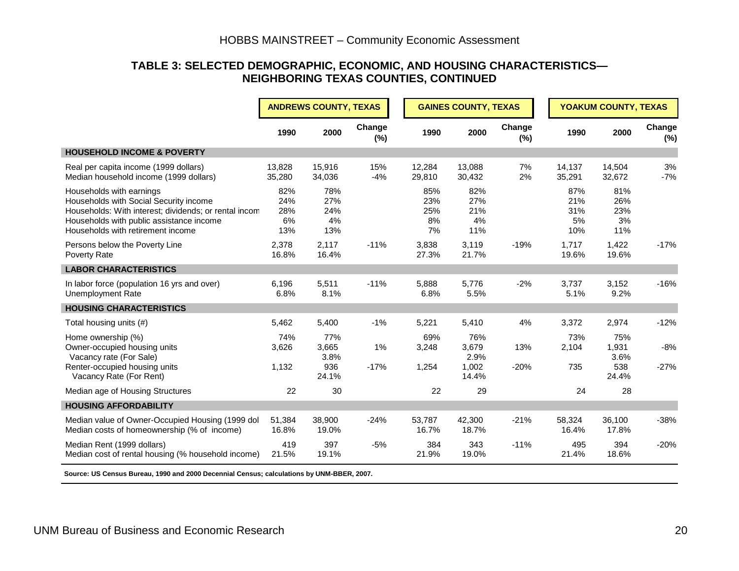#### **TABLE 3: SELECTED DEMOGRAPHIC, ECONOMIC, AND HOUSING CHARACTERISTICS— NEIGHBORING TEXAS COUNTIES, CONTINUED**

|                                                                                                                                                                                                              |                                | <b>ANDREWS COUNTY, TEXAS</b>         |                  |                               | <b>GAINES COUNTY, TEXAS</b>            |               |                                | YOAKUM COUNTY, TEXAS                 |                 |  |
|--------------------------------------------------------------------------------------------------------------------------------------------------------------------------------------------------------------|--------------------------------|--------------------------------------|------------------|-------------------------------|----------------------------------------|---------------|--------------------------------|--------------------------------------|-----------------|--|
|                                                                                                                                                                                                              | 1990                           | 2000                                 | Change<br>$(\%)$ | 1990                          | 2000                                   | Change<br>(%) | 1990                           | 2000                                 | Change<br>(%)   |  |
| <b>HOUSEHOLD INCOME &amp; POVERTY</b>                                                                                                                                                                        |                                |                                      |                  |                               |                                        |               |                                |                                      |                 |  |
| Real per capita income (1999 dollars)<br>Median household income (1999 dollars)                                                                                                                              | 13,828<br>35,280               | 15,916<br>34,036                     | 15%<br>$-4%$     | 12,284<br>29,810              | 13,088<br>30,432                       | 7%<br>2%      | 14,137<br>35,291               | 14,504<br>32,672                     | 3%<br>$-7%$     |  |
| Households with earnings<br>Households with Social Security income<br>Households: With interest; dividends; or rental incom<br>Households with public assistance income<br>Households with retirement income | 82%<br>24%<br>28%<br>6%<br>13% | 78%<br>27%<br>24%<br>4%<br>13%       |                  | 85%<br>23%<br>25%<br>8%<br>7% | 82%<br>27%<br>21%<br>4%<br>11%         |               | 87%<br>21%<br>31%<br>5%<br>10% | 81%<br>26%<br>23%<br>3%<br>11%       |                 |  |
| Persons below the Poverty Line<br>Poverty Rate                                                                                                                                                               | 2,378<br>16.8%                 | 2,117<br>16.4%                       | $-11%$           | 3,838<br>27.3%                | 3,119<br>21.7%                         | $-19%$        | 1,717<br>19.6%                 | 1,422<br>19.6%                       | $-17%$          |  |
| <b>LABOR CHARACTERISTICS</b>                                                                                                                                                                                 |                                |                                      |                  |                               |                                        |               |                                |                                      |                 |  |
| In labor force (population 16 yrs and over)<br>Unemployment Rate                                                                                                                                             | 6,196<br>6.8%                  | 5,511<br>8.1%                        | $-11%$           | 5,888<br>6.8%                 | 5,776<br>5.5%                          | $-2%$         | 3,737<br>5.1%                  | 3,152<br>9.2%                        | $-16%$          |  |
| <b>HOUSING CHARACTERISTICS</b>                                                                                                                                                                               |                                |                                      |                  |                               |                                        |               |                                |                                      |                 |  |
| Total housing units (#)                                                                                                                                                                                      | 5,462                          | 5,400                                | $-1%$            | 5,221                         | 5,410                                  | 4%            | 3,372                          | 2,974                                | $-12%$          |  |
| Home ownership (%)<br>Owner-occupied housing units<br>Vacancy rate (For Sale)<br>Renter-occupied housing units<br>Vacancy Rate (For Rent)                                                                    | 74%<br>3,626<br>1,132          | 77%<br>3,665<br>3.8%<br>936<br>24.1% | 1%<br>$-17%$     | 69%<br>3,248<br>1,254         | 76%<br>3,679<br>2.9%<br>1,002<br>14.4% | 13%<br>$-20%$ | 73%<br>2,104<br>735            | 75%<br>1,931<br>3.6%<br>538<br>24.4% | $-8%$<br>$-27%$ |  |
| Median age of Housing Structures                                                                                                                                                                             | 22                             | 30                                   |                  | 22                            | 29                                     |               | 24                             | 28                                   |                 |  |
| <b>HOUSING AFFORDABILITY</b>                                                                                                                                                                                 |                                |                                      |                  |                               |                                        |               |                                |                                      |                 |  |
| Median value of Owner-Occupied Housing (1999 dol<br>Median costs of homeownership (% of income)                                                                                                              | 51,384<br>16.8%                | 38.900<br>19.0%                      | $-24%$           | 53.787<br>16.7%               | 42,300<br>18.7%                        | $-21%$        | 58,324<br>16.4%                | 36,100<br>17.8%                      | $-38%$          |  |
| Median Rent (1999 dollars)<br>Median cost of rental housing (% household income)                                                                                                                             | 419<br>21.5%                   | 397<br>19.1%                         | $-5%$            | 384<br>21.9%                  | 343<br>19.0%                           | $-11%$        | 495<br>21.4%                   | 394<br>18.6%                         | $-20%$          |  |

 **Source: US Census Bureau, 1990 and 2000 Decennial Census; calculations by UNM-BBER, 2007.**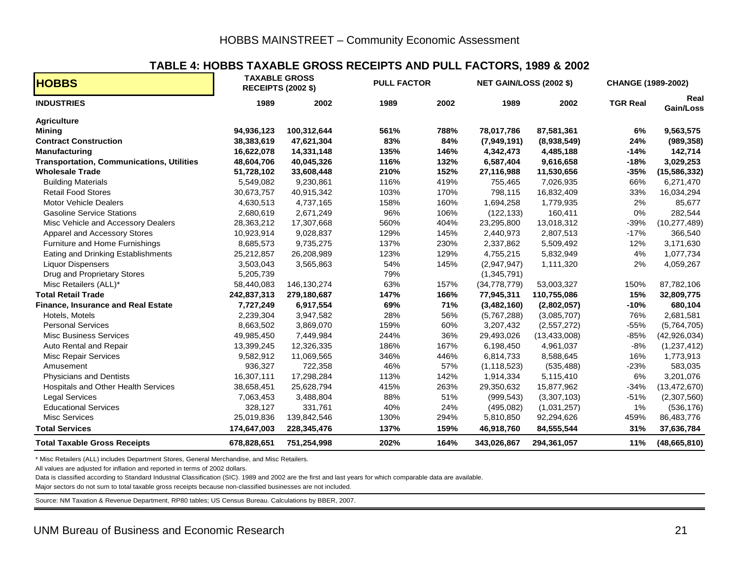#### **TABLE 4: HOBBS TAXABLE GROSS RECEIPTS AND PULL FACTORS, 1989 & 2002**

| <b>HOBBS</b>                                     |             | <b>TAXABLE GROSS</b><br><b>RECEIPTS (2002 \$)</b> | <b>PULL FACTOR</b> |      | <b>NET GAIN/LOSS (2002 \$)</b> |                | <b>CHANGE (1989-2002)</b> |                   |  |
|--------------------------------------------------|-------------|---------------------------------------------------|--------------------|------|--------------------------------|----------------|---------------------------|-------------------|--|
| <b>INDUSTRIES</b>                                | 1989        | 2002                                              | 1989               | 2002 | 1989                           | 2002           | <b>TGR Real</b>           | Real<br>Gain/Loss |  |
| <b>Agriculture</b>                               |             |                                                   |                    |      |                                |                |                           |                   |  |
| <b>Mining</b>                                    | 94,936,123  | 100,312,644                                       | 561%               | 788% | 78,017,786                     | 87,581,361     | 6%                        | 9,563,575         |  |
| <b>Contract Construction</b>                     | 38,383,619  | 47,621,304                                        | 83%                | 84%  | (7,949,191)                    | (8,938,549)    | 24%                       | (989, 358)        |  |
| <b>Manufacturing</b>                             | 16,622,078  | 14,331,148                                        | 135%               | 146% | 4,342,473                      | 4,485,188      | $-14%$                    | 142,714           |  |
| <b>Transportation, Communications, Utilities</b> | 48,604,706  | 40,045,326                                        | 116%               | 132% | 6,587,404                      | 9,616,658      | $-18%$                    | 3,029,253         |  |
| <b>Wholesale Trade</b>                           | 51,728,102  | 33,608,448                                        | 210%               | 152% | 27,116,988                     | 11,530,656     | $-35%$                    | (15, 586, 332)    |  |
| <b>Building Materials</b>                        | 5,549,082   | 9,230,861                                         | 116%               | 419% | 755,465                        | 7,026,935      | 66%                       | 6,271,470         |  |
| <b>Retail Food Stores</b>                        | 30,673,757  | 40,915,342                                        | 103%               | 170% | 798,115                        | 16,832,409     | 33%                       | 16,034,294        |  |
| <b>Motor Vehicle Dealers</b>                     | 4,630,513   | 4,737,165                                         | 158%               | 160% | 1,694,258                      | 1,779,935      | 2%                        | 85,677            |  |
| <b>Gasoline Service Stations</b>                 | 2,680,619   | 2,671,249                                         | 96%                | 106% | (122, 133)                     | 160,411        | 0%                        | 282,544           |  |
| Misc Vehicle and Accessory Dealers               | 28,363,212  | 17,307,668                                        | 560%               | 404% | 23,295,800                     | 13,018,312     | $-39%$                    | (10, 277, 489)    |  |
| Apparel and Accessory Stores                     | 10,923,914  | 9,028,837                                         | 129%               | 145% | 2,440,973                      | 2,807,513      | $-17%$                    | 366,540           |  |
| Furniture and Home Furnishings                   | 8,685,573   | 9,735,275                                         | 137%               | 230% | 2,337,862                      | 5,509,492      | 12%                       | 3,171,630         |  |
| Eating and Drinking Establishments               | 25,212,857  | 26,208,989                                        | 123%               | 129% | 4,755,215                      | 5,832,949      | 4%                        | 1,077,734         |  |
| <b>Liquor Dispensers</b>                         | 3,503,043   | 3,565,863                                         | 54%                | 145% | (2,947,947)                    | 1,111,320      | 2%                        | 4,059,267         |  |
| Drug and Proprietary Stores                      | 5,205,739   |                                                   | 79%                |      | (1,345,791)                    |                |                           |                   |  |
| Misc Retailers (ALL)*                            | 58,440,083  | 146,130,274                                       | 63%                | 157% | (34, 778, 779)                 | 53,003,327     | 150%                      | 87,782,106        |  |
| <b>Total Retail Trade</b>                        | 242,837,313 | 279,180,687                                       | 147%               | 166% | 77,945,311                     | 110,755,086    | 15%                       | 32,809,775        |  |
| <b>Finance, Insurance and Real Estate</b>        | 7,727,249   | 6,917,554                                         | 69%                | 71%  | (3,482,160)                    | (2,802,057)    | $-10%$                    | 680,104           |  |
| Hotels, Motels                                   | 2,239,304   | 3,947,582                                         | 28%                | 56%  | (5,767,288)                    | (3,085,707)    | 76%                       | 2,681,581         |  |
| <b>Personal Services</b>                         | 8,663,502   | 3,869,070                                         | 159%               | 60%  | 3,207,432                      | (2,557,272)    | $-55%$                    | (5,764,705)       |  |
| <b>Misc Business Services</b>                    | 49,985,450  | 7,449,984                                         | 244%               | 36%  | 29,493,026                     | (13, 433, 008) | $-85%$                    | (42, 926, 034)    |  |
| Auto Rental and Repair                           | 13,399,245  | 12,326,335                                        | 186%               | 167% | 6,198,450                      | 4,961,037      | $-8%$                     | (1, 237, 412)     |  |
| Misc Repair Services                             | 9,582,912   | 11,069,565                                        | 346%               | 446% | 6,814,733                      | 8,588,645      | 16%                       | 1,773,913         |  |
| Amusement                                        | 936,327     | 722,358                                           | 46%                | 57%  | (1, 118, 523)                  | (535, 488)     | $-23%$                    | 583,035           |  |
| <b>Physicians and Dentists</b>                   | 16,307,111  | 17,298,284                                        | 113%               | 142% | 1,914,334                      | 5,115,410      | 6%                        | 3,201,076         |  |
| Hospitals and Other Health Services              | 38,658,451  | 25,628,794                                        | 415%               | 263% | 29,350,632                     | 15,877,962     | $-34%$                    | (13, 472, 670)    |  |
| <b>Legal Services</b>                            | 7,063,453   | 3,488,804                                         | 88%                | 51%  | (999, 543)                     | (3,307,103)    | $-51%$                    | (2,307,560)       |  |
| <b>Educational Services</b>                      | 328,127     | 331,761                                           | 40%                | 24%  | (495, 082)                     | (1,031,257)    | $1\%$                     | (536, 176)        |  |
| <b>Misc Services</b>                             | 25,019,836  | 139,842,546                                       | 130%               | 294% | 5,810,850                      | 92,294,626     | 459%                      | 86,483,776        |  |
| <b>Total Services</b>                            | 174,647,003 | 228,345,476                                       | 137%               | 159% | 46,918,760                     | 84,555,544     | 31%                       | 37,636,784        |  |
| <b>Total Taxable Gross Receipts</b>              | 678,828,651 | 751,254,998                                       | 202%               | 164% | 343,026,867                    | 294,361,057    | 11%                       | (48,665,810)      |  |

\* Misc Retailers (ALL) includes Department Stores, General Merchandise, and Misc Retailers.

All values are adjusted for inflation and reported in terms of 2002 dollars.

Data is classified according to Standard Industrial Classification (SIC). 1989 and 2002 are the first and last years for which comparable data are available.

Major sectors do not sum to total taxable gross receipts because non-classified businesses are not included.

Source: NM Taxation & Revenue Department, RP80 tables; US Census Bureau. Calculations by BBER, 2007.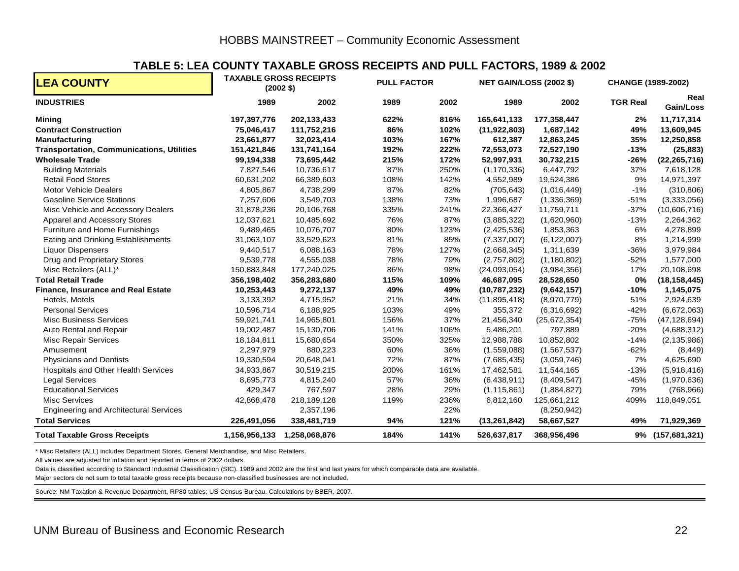#### **TABLE 5: LEA COUNTY TAXABLE GROSS RECEIPTS AND PULL FACTORS, 1989 & 2002**

| <b>LEA COUNTY</b>                                |               | <b>TAXABLE GROSS RECEIPTS</b><br>$(2002 \text{ } $)$ | <b>PULL FACTOR</b> |      | <b>NET GAIN/LOSS (2002 \$)</b> |                | CHANGE (1989-2002) |                   |  |
|--------------------------------------------------|---------------|------------------------------------------------------|--------------------|------|--------------------------------|----------------|--------------------|-------------------|--|
| <b>INDUSTRIES</b>                                | 1989          | 2002                                                 | 1989               | 2002 | 1989                           | 2002           | <b>TGR Real</b>    | Real<br>Gain/Loss |  |
| <b>Mining</b>                                    | 197,397,776   | 202,133,433                                          | 622%               | 816% | 165,641,133                    | 177,358,447    | 2%                 | 11,717,314        |  |
| <b>Contract Construction</b>                     | 75,046,417    | 111,752,216                                          | 86%                | 102% | (11, 922, 803)                 | 1,687,142      | 49%                | 13,609,945        |  |
| <b>Manufacturing</b>                             | 23,661,877    | 32,023,414                                           | 103%               | 167% | 612,387                        | 12,863,245     | 35%                | 12,250,858        |  |
| <b>Transportation, Communications, Utilities</b> | 151,421,846   | 131,741,164                                          | 192%               | 222% | 72,553,073                     | 72,527,190     | $-13%$             | (25, 883)         |  |
| <b>Wholesale Trade</b>                           | 99,194,338    | 73,695,442                                           | 215%               | 172% | 52,997,931                     | 30,732,215     | $-26%$             | (22, 265, 716)    |  |
| <b>Building Materials</b>                        | 7,827,546     | 10,736,617                                           | 87%                | 250% | (1, 170, 336)                  | 6,447,792      | 37%                | 7,618,128         |  |
| <b>Retail Food Stores</b>                        | 60,631,202    | 66,389,603                                           | 108%               | 142% | 4,552,989                      | 19,524,386     | 9%                 | 14,971,397        |  |
| <b>Motor Vehicle Dealers</b>                     | 4,805,867     | 4,738,299                                            | 87%                | 82%  | (705, 643)                     | (1,016,449)    | $-1%$              | (310, 806)        |  |
| <b>Gasoline Service Stations</b>                 | 7,257,606     | 3,549,703                                            | 138%               | 73%  | 1,996,687                      | (1,336,369)    | $-51%$             | (3,333,056)       |  |
| Misc Vehicle and Accessory Dealers               | 31,878,236    | 20,106,768                                           | 335%               | 241% | 22,366,427                     | 11,759,711     | $-37%$             | (10,606,716)      |  |
| Apparel and Accessory Stores                     | 12,037,621    | 10,485,692                                           | 76%                | 87%  | (3,885,322)                    | (1,620,960)    | $-13%$             | 2,264,362         |  |
| Furniture and Home Furnishings                   | 9,489,465     | 10,076,707                                           | 80%                | 123% | (2,425,536)                    | 1,853,363      | 6%                 | 4,278,899         |  |
| Eating and Drinking Establishments               | 31,063,107    | 33,529,623                                           | 81%                | 85%  | (7, 337, 007)                  | (6, 122, 007)  | 8%                 | 1,214,999         |  |
| <b>Liquor Dispensers</b>                         | 9,440,517     | 6,088,163                                            | 78%                | 127% | (2,668,345)                    | 1,311,639      | $-36%$             | 3,979,984         |  |
| Drug and Proprietary Stores                      | 9,539,778     | 4,555,038                                            | 78%                | 79%  | (2,757,802)                    | (1, 180, 802)  | $-52%$             | 1,577,000         |  |
| Misc Retailers (ALL)*                            | 150,883,848   | 177,240,025                                          | 86%                | 98%  | (24,093,054)                   | (3,984,356)    | 17%                | 20,108,698        |  |
| <b>Total Retail Trade</b>                        | 356,198,402   | 356,283,680                                          | 115%               | 109% | 46,687,095                     | 28,528,650     | 0%                 | (18, 158, 445)    |  |
| <b>Finance, Insurance and Real Estate</b>        | 10,253,443    | 9,272,137                                            | 49%                | 49%  | (10, 787, 232)                 | (9,642,157)    | $-10%$             | 1,145,075         |  |
| Hotels, Motels                                   | 3,133,392     | 4,715,952                                            | 21%                | 34%  | (11, 895, 418)                 | (8,970,779)    | 51%                | 2,924,639         |  |
| <b>Personal Services</b>                         | 10,596,714    | 6,188,925                                            | 103%               | 49%  | 355,372                        | (6,316,692)    | $-42%$             | (6,672,063)       |  |
| <b>Misc Business Services</b>                    | 59,921,741    | 14,965,801                                           | 156%               | 37%  | 21,456,340                     | (25, 672, 354) | $-75%$             | (47, 128, 694)    |  |
| Auto Rental and Repair                           | 19,002,487    | 15,130,706                                           | 141%               | 106% | 5,486,201                      | 797,889        | $-20%$             | (4,688,312)       |  |
| <b>Misc Repair Services</b>                      | 18,184,811    | 15,680,654                                           | 350%               | 325% | 12,988,788                     | 10,852,802     | $-14%$             | (2, 135, 986)     |  |
| Amusement                                        | 2,297,979     | 880,223                                              | 60%                | 36%  | (1,559,088)                    | (1,567,537)    | $-62%$             | (8, 449)          |  |
| <b>Physicians and Dentists</b>                   | 19,330,594    | 20,648,041                                           | 72%                | 87%  | (7,685,435)                    | (3,059,746)    | 7%                 | 4,625,690         |  |
| <b>Hospitals and Other Health Services</b>       | 34,933,867    | 30,519,215                                           | 200%               | 161% | 17,462,581                     | 11,544,165     | $-13%$             | (5,918,416)       |  |
| <b>Legal Services</b>                            | 8,695,773     | 4,815,240                                            | 57%                | 36%  | (6,438,911)                    | (8,409,547)    | $-45%$             | (1,970,636)       |  |
| <b>Educational Services</b>                      | 429,347       | 767,597                                              | 28%                | 29%  | (1, 115, 861)                  | (1,884,827)    | 79%                | (768, 966)        |  |
| <b>Misc Services</b>                             | 42,868,478    | 218,189,128                                          | 119%               | 236% | 6,812,160                      | 125,661,212    | 409%               | 118,849,051       |  |
| <b>Engineering and Architectural Services</b>    |               | 2,357,196                                            |                    | 22%  |                                | (8,250,942)    |                    |                   |  |
| <b>Total Services</b>                            | 226,491,056   | 338,481,719                                          | 94%                | 121% | (13, 261, 842)                 | 58,667,527     | 49%                | 71,929,369        |  |
| <b>Total Taxable Gross Receipts</b>              | 1,156,956,133 | 1,258,068,876                                        | 184%               | 141% | 526,637,817                    | 368,956,496    |                    | 9% (157,681,321)  |  |

\* Misc Retailers (ALL) includes Department Stores, General Merchandise, and Misc Retailers.

All values are adjusted for inflation and reported in terms of 2002 dollars.

Data is classified according to Standard Industrial Classification (SIC). 1989 and 2002 are the first and last years for which comparable data are available.

Major sectors do not sum to total taxable gross receipts because non-classified businesses are not included.

Source: NM Taxation & Revenue Department, RP80 tables; US Census Bureau. Calculations by BBER, 2007.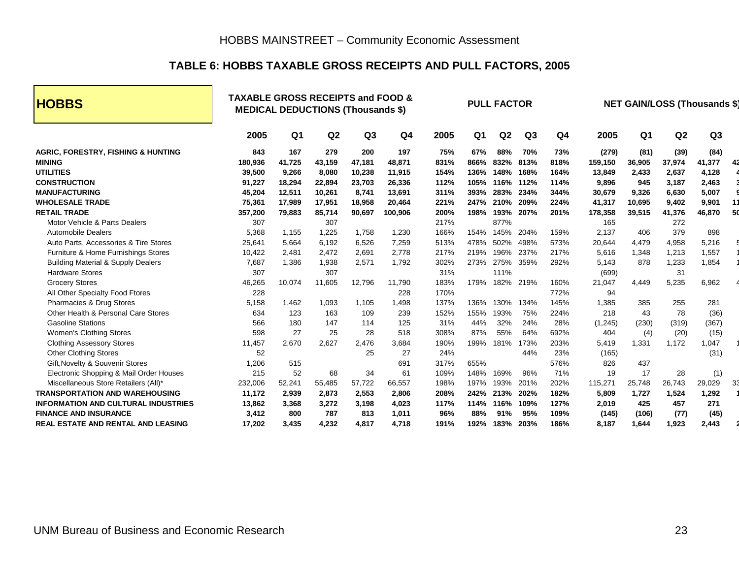#### **TABLE 6: HOBBS TAXABLE GROSS RECEIPTS AND PULL FACTORS, 2005**

| <b>HOBBS</b>                                                                                                                      |                                              | <b>TAXABLE GROSS RECEIPTS and FOOD &amp;</b><br><b>MEDICAL DEDUCTIONS (Thousands \$)</b> |                                            |                                            |                                             |                                     |                                     |                                     | <b>PULL FACTOR</b>                  |                                     |                                               |                                         |                                           | <b>NET GAIN/LOSS (Thousands \$)</b>       |    |  |  |
|-----------------------------------------------------------------------------------------------------------------------------------|----------------------------------------------|------------------------------------------------------------------------------------------|--------------------------------------------|--------------------------------------------|---------------------------------------------|-------------------------------------|-------------------------------------|-------------------------------------|-------------------------------------|-------------------------------------|-----------------------------------------------|-----------------------------------------|-------------------------------------------|-------------------------------------------|----|--|--|
|                                                                                                                                   | 2005                                         | Q <sub>1</sub>                                                                           | Q <sub>2</sub>                             | Q <sub>3</sub>                             | Q4                                          | 2005                                | Q1                                  | Q2                                  | Q <sub>3</sub>                      | Q4                                  | 2005                                          | Q <sub>1</sub>                          | Q <sub>2</sub>                            | Q <sub>3</sub>                            |    |  |  |
| <b>AGRIC, FORESTRY, FISHING &amp; HUNTING</b><br><b>MINING</b><br><b>UTILITIES</b><br><b>CONSTRUCTION</b><br><b>MANUFACTURING</b> | 843<br>180,936<br>39,500<br>91,227<br>45,204 | 167<br>41,725<br>9,266<br>18,294                                                         | 279<br>43,159<br>8,080<br>22,894<br>10,261 | 200<br>47,181<br>10,238<br>23,703<br>8,741 | 197<br>48,871<br>11,915<br>26,336<br>13,691 | 75%<br>831%<br>154%<br>112%<br>311% | 67%<br>866%<br>136%<br>105%<br>393% | 88%<br>832%<br>148%<br>116%<br>283% | 70%<br>813%<br>168%<br>112%<br>234% | 73%<br>818%<br>164%<br>114%<br>344% | (279)<br>159,150<br>13,849<br>9,896<br>30,679 | (81)<br>36,905<br>2,433<br>945<br>9,326 | (39)<br>37,974<br>2,637<br>3,187<br>6,630 | (84)<br>41,377<br>4,128<br>2,463<br>5,007 |    |  |  |
| <b>WHOLESALE TRADE</b>                                                                                                            | 75,361                                       | 12,511<br>17,989                                                                         | 17,951                                     | 18,958                                     | 20,464                                      | 221%                                | 247%                                | 210%                                | 209%                                | 224%                                | 41,317                                        | 10,695                                  | 9,402                                     | 9,901                                     |    |  |  |
| <b>RETAIL TRADE</b><br>Motor Vehicle & Parts Dealers                                                                              | 357,200<br>307                               | 79,883                                                                                   | 85,714<br>307                              | 90,697                                     | 100,906                                     | 200%<br>217%                        | 198%                                | 193%<br>877%                        | 207%                                | 201%                                | 178,358<br>165                                | 39,515                                  | 41,376<br>272                             | 46,870                                    | 50 |  |  |
| <b>Automobile Dealers</b><br>Auto Parts, Accessories & Tire Stores                                                                | 5,368<br>25,641                              | 1.155<br>5,664                                                                           | 1.225<br>6,192                             | 1.758<br>6,526                             | 1,230<br>7,259                              | 166%<br>513%                        | 154%<br>478%                        | 145%<br>502%                        | 204%<br>498%                        | 159%<br>573%                        | 2,137<br>20,644                               | 406<br>4,479                            | 379<br>4,958                              | 898<br>5,216                              |    |  |  |
| Furniture & Home Furnishings Stores<br><b>Building Material &amp; Supply Dealers</b>                                              | 10,422<br>7,687                              | 2.481<br>1,386                                                                           | 2.472<br>1,938                             | 2,691<br>2,571                             | 2.778<br>1,792                              | 217%<br>302%                        | 219%<br>273%                        | 196%<br>275%                        | 237%<br>359%                        | 217%<br>292%                        | 5.616<br>5,143                                | 1,348<br>878                            | 1,213<br>1,233                            | 1,557<br>1,854                            |    |  |  |
| <b>Hardware Stores</b><br><b>Grocery Stores</b>                                                                                   | 307<br>46,265                                | 10,074                                                                                   | 307<br>11,605                              | 12,796                                     | 11,790                                      | 31%<br>183%                         | 179%                                | 111%<br>182%                        | 219%                                | 160%                                | (699)<br>21,047                               | 4,449                                   | 31<br>5,235                               | 6,962                                     |    |  |  |
| All Other Specialty Food Ftores<br>Pharmacies & Drug Stores                                                                       | 228<br>5,158                                 | 1,462                                                                                    | 1,093                                      | 1.105                                      | 228<br>1,498                                | 170%<br>137%                        | 136%                                | 130%                                | 134%                                | 772%<br>145%                        | 94<br>1,385                                   | 385                                     | 255                                       | 281                                       |    |  |  |
| Other Health & Personal Care Stores<br><b>Gasoline Stations</b>                                                                   | 634<br>566                                   | 123<br>180                                                                               | 163<br>147                                 | 109<br>114                                 | 239<br>125                                  | 152%<br>31%                         | 155%<br>44%                         | 193%<br>32%                         | 75%<br>24%                          | 224%<br>28%                         | 218<br>(1, 245)                               | 43<br>(230)                             | 78<br>(319)                               | (36)<br>(367)                             |    |  |  |
| <b>Women's Clothing Stores</b><br><b>Clothing Assessory Stores</b>                                                                | 598<br>11,457                                | 27<br>2,670                                                                              | 25<br>2,627                                | 28<br>2,476                                | 518<br>3,684                                | 308%<br>190%                        | 87%<br>199%                         | 55%<br>181%                         | 64%<br>173%                         | 692%<br>203%                        | 404<br>5,419                                  | (4)<br>1,331                            | (20)<br>1,172                             | (15)<br>1,047                             |    |  |  |
| <b>Other Clothing Stores</b><br>Gift, Novelty & Souvenir Stores                                                                   | 52<br>1,206                                  | 515                                                                                      |                                            | 25                                         | 27<br>691                                   | 24%<br>317%                         | 655%                                |                                     | 44%                                 | 23%<br>576%                         | (165)<br>826                                  | 437                                     |                                           | (31)                                      |    |  |  |
| Electronic Shopping & Mail Order Houses<br>Miscellaneous Store Retailers (All)*                                                   | 215<br>232,006                               | 52<br>52,241                                                                             | 68<br>55,485                               | 34<br>57,722                               | 61<br>66,557                                | 109%<br>198%                        | 148%<br>197%                        | 169%<br>193%                        | 96%<br>201%                         | 71%<br>202%                         | 19<br>115,271                                 | 17<br>25,748                            | 28<br>26,743                              | (1)<br>29,029                             | 33 |  |  |
| <b>TRANSPORTATION AND WAREHOUSING</b><br><b>INFORMATION AND CULTURAL INDUSTRIES</b>                                               | 11,172<br>13,862                             | 2,939<br>3,368                                                                           | 2,873<br>3,272                             | 2,553<br>3,198                             | 2.806<br>4,023                              | 208%<br>117%                        | 242%<br>114%                        | 213%<br>116%                        | 202%<br>109%                        | 182%<br>127%                        | 5,809<br>2,019                                | 1,727<br>425                            | 1,524<br>457                              | 1,292<br>271                              |    |  |  |
| <b>FINANCE AND INSURANCE</b>                                                                                                      | 3,412                                        | 800                                                                                      | 787                                        | 813                                        | 1,011                                       | 96%                                 | 88%                                 | 91%                                 | 95%                                 | 109%                                | (145)                                         | (106)                                   | (77)                                      | (45)                                      |    |  |  |
| <b>REAL ESTATE AND RENTAL AND LEASING</b>                                                                                         | 17,202                                       | 3,435                                                                                    | 4,232                                      | 4.817                                      | 4.718                                       | 191%                                | 192%                                | 183%                                | 203%                                | 186%                                | 8.187                                         | 1,644                                   | 1,923                                     | 2,443                                     |    |  |  |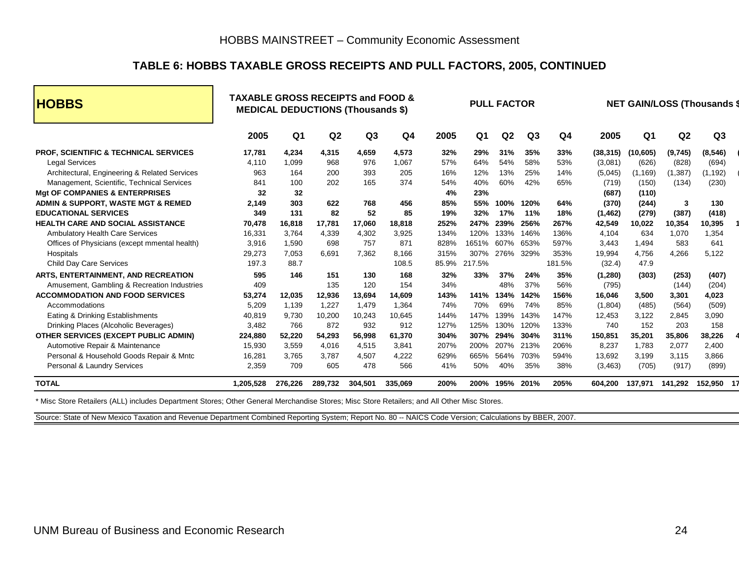#### **TABLE 6: HOBBS TAXABLE GROSS RECEIPTS AND PULL FACTORS, 2005, CONTINUED**

| <b>HOBBS</b>                                     | <b>TAXABLE GROSS RECEIPTS and FOOD &amp;</b> |         |                | <b>MEDICAL DEDUCTIONS (Thousands \$)</b> |         |       |                | <b>PULL FACTOR</b> |      |                |           |           |                | <b>NET GAIN/LOSS (Thousands \$</b> |
|--------------------------------------------------|----------------------------------------------|---------|----------------|------------------------------------------|---------|-------|----------------|--------------------|------|----------------|-----------|-----------|----------------|------------------------------------|
|                                                  | 2005                                         | Q1      | Q <sub>2</sub> | Q <sub>3</sub>                           | Q4      | 2005  | Q <sub>1</sub> | Q <sub>2</sub>     | Q3   | Q <sub>4</sub> | 2005      | Q1        | Q <sub>2</sub> | Q <sub>3</sub>                     |
| <b>PROF, SCIENTIFIC &amp; TECHNICAL SERVICES</b> | 17,781                                       | 4.234   | 4,315          | 4,659                                    | 4,573   | 32%   | 29%            | 31%                | 35%  | 33%            | (38, 315) | (10, 605) | (9,745)        | (8, 546)                           |
| <b>Legal Services</b>                            | 4.110                                        | 1.099   | 968            | 976                                      | 1.067   | 57%   | 64%            | 54%                | 58%  | 53%            | (3,081)   | (626)     | (828)          | (694)                              |
| Architectural, Engineering & Related Services    | 963                                          | 164     | 200            | 393                                      | 205     | 16%   | 12%            | 13%                | 25%  | 14%            | (5,045)   | (1, 169)  | (1, 387)       | (1, 192)                           |
| Management, Scientific, Technical Services       | 841                                          | 100     | 202            | 165                                      | 374     | 54%   | 40%            | 60%                | 42%  | 65%            | (719)     | (150)     | (134)          | (230)                              |
| <b>Mgt OF COMPANIES &amp; ENTERPRISES</b>        | 32                                           | 32      |                |                                          |         | 4%    | 23%            |                    |      |                | (687)     | (110)     |                |                                    |
| ADMIN & SUPPORT, WASTE MGT & REMED               | 2.149                                        | 303     | 622            | 768                                      | 456     | 85%   | 55%            | 100%               | 120% | 64%            | (370)     | (244)     | 3              | 130                                |
| <b>EDUCATIONAL SERVICES</b>                      | 349                                          | 131     | 82             | 52                                       | 85      | 19%   | 32%            | 17%                | 11%  | 18%            | (1, 462)  | (279)     | (387)          | (418)                              |
| <b>HEALTH CARE AND SOCIAL ASSISTANCE</b>         | 70,478                                       | 16,818  | 17,781         | 17,060                                   | 18,818  | 252%  | 247%           | 239%               | 256% | 267%           | 42,549    | 10,022    | 10,354         | 10,395                             |
| <b>Ambulatory Health Care Services</b>           | 16,331                                       | 3.764   | 4.339          | 4,302                                    | 3,925   | 134%  | 120%           | 133%               | 146% | 136%           | 4.104     | 634       | 1,070          | 1,354                              |
| Offices of Physicians (except mmental health)    | 3,916                                        | 1,590   | 698            | 757                                      | 871     | 828%  | 1651%          | 607%               | 653% | 597%           | 3,443     | 1,494     | 583            | 641                                |
| Hospitals                                        | 29,273                                       | 7,053   | 6,691          | 7.362                                    | 8.166   | 315%  | 307%           | 276%               | 329% | 353%           | 19,994    | 4.756     | 4,266          | 5,122                              |
| <b>Child Day Care Services</b>                   | 197.3                                        | 88.7    |                |                                          | 108.5   | 85.9% | 217.5%         |                    |      | 181.5%         | (32.4)    | 47.9      |                |                                    |
| ARTS, ENTERTAINMENT, AND RECREATION              | 595                                          | 146     | 151            | 130                                      | 168     | 32%   | 33%            | 37%                | 24%  | 35%            | (1,280)   | (303)     | (253)          | (407)                              |
| Amusement, Gambling & Recreation Industries      | 409                                          |         | 135            | 120                                      | 154     | 34%   |                | 48%                | 37%  | 56%            | (795)     |           | (144)          | (204)                              |
| <b>ACCOMMODATION AND FOOD SERVICES</b>           | 53,274                                       | 12,035  | 12,936         | 13,694                                   | 14,609  | 143%  | 141%           | 134%               | 142% | 156%           | 16,046    | 3.500     | 3,301          | 4,023                              |
| Accommodations                                   | 5,209                                        | 1,139   | 1,227          | 1,479                                    | 1,364   | 74%   | 70%            | 69%                | 74%  | 85%            | (1,804)   | (485)     | (564)          | (509)                              |
| Eating & Drinking Establishments                 | 40.819                                       | 9,730   | 10,200         | 10,243                                   | 10,645  | 144%  | 147%           | 139%               | 143% | 147%           | 12,453    | 3,122     | 2,845          | 3,090                              |
| Drinking Places (Alcoholic Beverages)            | 3,482                                        | 766     | 872            | 932                                      | 912     | 127%  | 125%           | 130%               | 120% | 133%           | 740       | 152       | 203            | 158                                |
| OTHER SERVICES (EXCEPT PUBLIC ADMIN)             | 224.880                                      | 52.220  | 54.293         | 56,998                                   | 61.370  | 304%  | 307%           | 294%               | 304% | 311%           | 150.851   | 35.201    | 35,806         | 38,226                             |
| Automotive Repair & Maintenance                  | 15,930                                       | 3,559   | 4,016          | 4,515                                    | 3,841   | 207%  | 200%           | 207%               | 213% | 206%           | 8,237     | 1,783     | 2,077          | 2,400                              |
| Personal & Household Goods Repair & Mntc         | 16,281                                       | 3.765   | 3,787          | 4,507                                    | 4,222   | 629%  | 665%           | 564%               | 703% | 594%           | 13.692    | 3.199     | 3,115          | 3,866                              |
| Personal & Laundry Services                      | 2,359                                        | 709     | 605            | 478                                      | 566     | 41%   | 50%            | 40%                | 35%  | 38%            | (3, 463)  | (705)     | (917)          | (899)                              |
| <b>TOTAL</b>                                     | 1,205,528                                    | 276,226 | 289,732        | 304,501                                  | 335,069 | 200%  | 200%           | 195%               | 201% | 205%           | 604,200   | 137,971   | 141,292        | 152,950 17                         |

\* Misc Store Retailers (ALL) includes Department Stores; Other General Merchandise Stores; Misc Store Retailers; and All Other Misc Stores.

Source: State of New Mexico Taxation and Revenue Department Combined Reporting System; Report No. 80 -- NAICS Code Version; Calculations by BBER, 2007.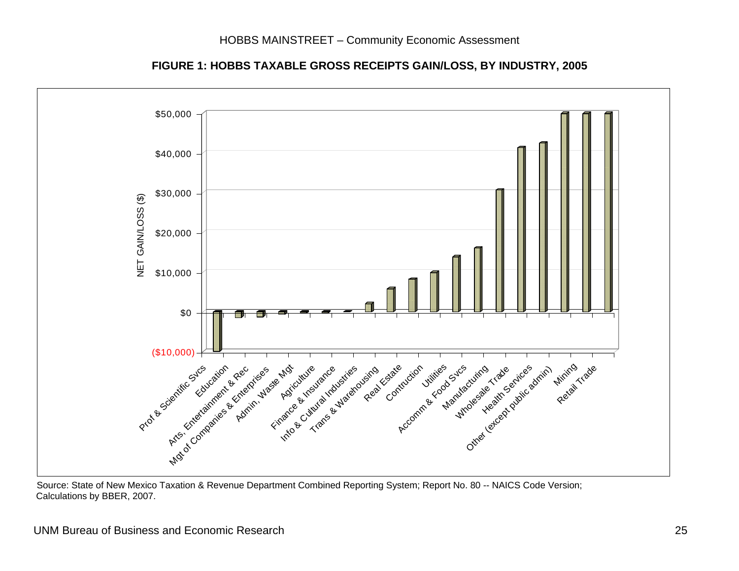

**FIGURE 1: HOBBS TAXABLE GROSS RECEIPTS GAIN/LOSS, BY INDUSTRY, 2005**

Source: State of New Mexico Taxation & Revenue Department Combined Reporting System; Report No. 80 -- NAICS Code Version; Calculations by BBER, 2007.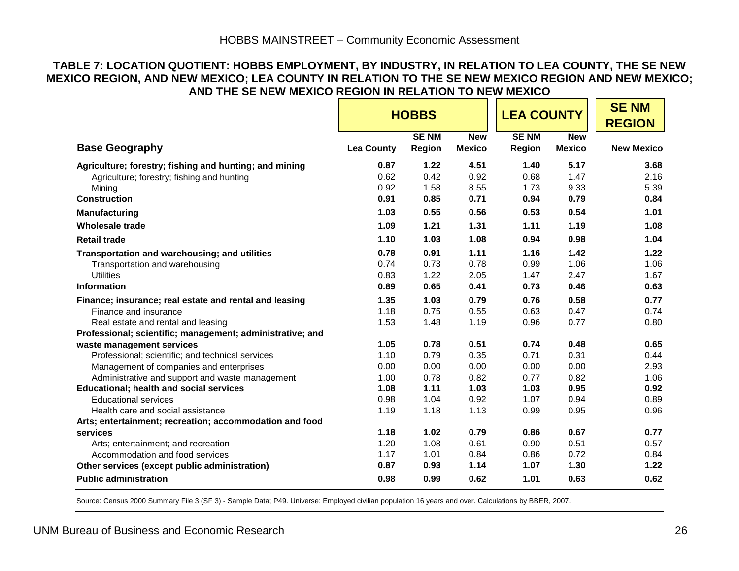#### **TABLE 7: LOCATION QUOTIENT: HOBBS EMPLOYMENT, BY INDUSTRY, IN RELATION TO LEA COUNTY, THE SE NEW MEXICO REGION, AND NEW MEXICO; LEA COUNTY IN RELATION TO THE SE NEW MEXICO REGION AND NEW MEXICO; AND THE SE NEW MEXICO REGION IN RELATION TO NEW MEXICO**

|                                                           |                   | <b>HOBBS</b>          |                             | <b>LEA COUNTY</b>     |                             | <b>SENM</b><br><b>REGION</b> |
|-----------------------------------------------------------|-------------------|-----------------------|-----------------------------|-----------------------|-----------------------------|------------------------------|
| <b>Base Geography</b>                                     | <b>Lea County</b> | <b>SENM</b><br>Region | <b>New</b><br><b>Mexico</b> | <b>SENM</b><br>Region | <b>New</b><br><b>Mexico</b> | <b>New Mexico</b>            |
| Agriculture; forestry; fishing and hunting; and mining    | 0.87              | 1.22                  | 4.51                        | 1.40                  | 5.17                        | 3.68                         |
| Agriculture; forestry; fishing and hunting                | 0.62              | 0.42                  | 0.92                        | 0.68                  | 1.47                        | 2.16                         |
| Mining                                                    | 0.92              | 1.58                  | 8.55                        | 1.73                  | 9.33                        | 5.39                         |
| <b>Construction</b>                                       | 0.91              | 0.85                  | 0.71                        | 0.94                  | 0.79                        | 0.84                         |
| Manufacturing                                             | 1.03              | 0.55                  | 0.56                        | 0.53                  | 0.54                        | 1.01                         |
| Wholesale trade                                           | 1.09              | 1.21                  | 1.31                        | 1.11                  | 1.19                        | 1.08                         |
| <b>Retail trade</b>                                       | 1.10              | 1.03                  | 1.08                        | 0.94                  | 0.98                        | 1.04                         |
| Transportation and warehousing; and utilities             | 0.78              | 0.91                  | 1.11                        | 1.16                  | 1.42                        | 1.22                         |
| Transportation and warehousing                            | 0.74              | 0.73                  | 0.78                        | 0.99                  | 1.06                        | 1.06                         |
| <b>Utilities</b>                                          | 0.83              | 1.22                  | 2.05                        | 1.47                  | 2.47                        | 1.67                         |
| <b>Information</b>                                        | 0.89              | 0.65                  | 0.41                        | 0.73                  | 0.46                        | 0.63                         |
| Finance; insurance; real estate and rental and leasing    | 1.35              | 1.03                  | 0.79                        | 0.76                  | 0.58                        | 0.77                         |
| Finance and insurance                                     | 1.18              | 0.75                  | 0.55                        | 0.63                  | 0.47                        | 0.74                         |
| Real estate and rental and leasing                        | 1.53              | 1.48                  | 1.19                        | 0.96                  | 0.77                        | 0.80                         |
| Professional; scientific; management; administrative; and |                   |                       |                             |                       |                             |                              |
| waste management services                                 | 1.05              | 0.78                  | 0.51                        | 0.74                  | 0.48                        | 0.65                         |
| Professional; scientific; and technical services          | 1.10              | 0.79                  | 0.35                        | 0.71                  | 0.31                        | 0.44                         |
| Management of companies and enterprises                   | 0.00              | 0.00                  | 0.00                        | 0.00                  | 0.00                        | 2.93                         |
| Administrative and support and waste management           | 1.00              | 0.78                  | 0.82                        | 0.77                  | 0.82                        | 1.06                         |
| <b>Educational; health and social services</b>            | 1.08              | 1.11                  | 1.03                        | 1.03                  | 0.95                        | 0.92                         |
| <b>Educational services</b>                               | 0.98              | 1.04                  | 0.92                        | 1.07                  | 0.94                        | 0.89                         |
| Health care and social assistance                         | 1.19              | 1.18                  | 1.13                        | 0.99                  | 0.95                        | 0.96                         |
| Arts; entertainment; recreation; accommodation and food   |                   |                       |                             |                       |                             |                              |
| services                                                  | 1.18              | 1.02                  | 0.79                        | 0.86                  | 0.67                        | 0.77                         |
| Arts; entertainment; and recreation                       | 1.20              | 1.08                  | 0.61                        | 0.90                  | 0.51                        | 0.57                         |
| Accommodation and food services                           | 1.17              | 1.01                  | 0.84                        | 0.86                  | 0.72                        | 0.84                         |
| Other services (except public administration)             | 0.87              | 0.93                  | 1.14                        | 1.07                  | 1.30                        | 1.22                         |
| <b>Public administration</b>                              | 0.98              | 0.99                  | 0.62                        | 1.01                  | 0.63                        | 0.62                         |

Source: Census 2000 Summary File 3 (SF 3) - Sample Data; P49. Universe: Employed civilian population 16 years and over. Calculations by BBER, 2007.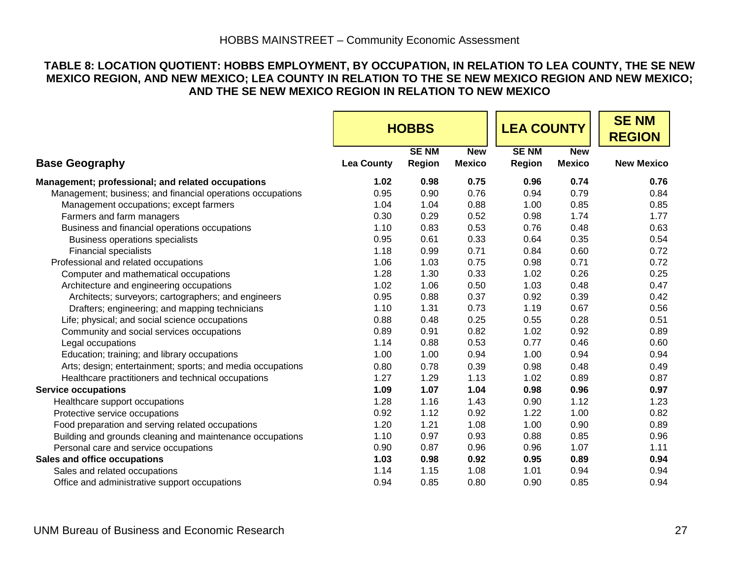#### **TABLE 8: LOCATION QUOTIENT: HOBBS EMPLOYMENT, BY OCCUPATION, IN RELATION TO LEA COUNTY, THE SE NEW MEXICO REGION, AND NEW MEXICO; LEA COUNTY IN RELATION TO THE SE NEW MEXICO REGION AND NEW MEXICO; AND THE SE NEW MEXICO REGION IN RELATION TO NEW MEXICO**

|                                                            |                   | <b>HOBBS</b>                 |                             | <b>LEA COUNTY</b>     |                             | <b>SENM</b><br><b>REGION</b> |
|------------------------------------------------------------|-------------------|------------------------------|-----------------------------|-----------------------|-----------------------------|------------------------------|
| <b>Base Geography</b>                                      | <b>Lea County</b> | <b>SENM</b><br><b>Region</b> | <b>New</b><br><b>Mexico</b> | <b>SENM</b><br>Region | <b>New</b><br><b>Mexico</b> | <b>New Mexico</b>            |
| Management; professional; and related occupations          | 1.02              | 0.98                         | 0.75                        | 0.96                  | 0.74                        | 0.76                         |
| Management; business; and financial operations occupations | 0.95              | 0.90                         | 0.76                        | 0.94                  | 0.79                        | 0.84                         |
| Management occupations; except farmers                     | 1.04              | 1.04                         | 0.88                        | 1.00                  | 0.85                        | 0.85                         |
| Farmers and farm managers                                  | 0.30              | 0.29                         | 0.52                        | 0.98                  | 1.74                        | 1.77                         |
| Business and financial operations occupations              | 1.10              | 0.83                         | 0.53                        | 0.76                  | 0.48                        | 0.63                         |
| Business operations specialists                            | 0.95              | 0.61                         | 0.33                        | 0.64                  | 0.35                        | 0.54                         |
| <b>Financial specialists</b>                               | 1.18              | 0.99                         | 0.71                        | 0.84                  | 0.60                        | 0.72                         |
| Professional and related occupations                       | 1.06              | 1.03                         | 0.75                        | 0.98                  | 0.71                        | 0.72                         |
| Computer and mathematical occupations                      | 1.28              | 1.30                         | 0.33                        | 1.02                  | 0.26                        | 0.25                         |
| Architecture and engineering occupations                   | 1.02              | 1.06                         | 0.50                        | 1.03                  | 0.48                        | 0.47                         |
| Architects; surveyors; cartographers; and engineers        | 0.95              | 0.88                         | 0.37                        | 0.92                  | 0.39                        | 0.42                         |
| Drafters; engineering; and mapping technicians             | 1.10              | 1.31                         | 0.73                        | 1.19                  | 0.67                        | 0.56                         |
| Life; physical; and social science occupations             | 0.88              | 0.48                         | 0.25                        | 0.55                  | 0.28                        | 0.51                         |
| Community and social services occupations                  | 0.89              | 0.91                         | 0.82                        | 1.02                  | 0.92                        | 0.89                         |
| Legal occupations                                          | 1.14              | 0.88                         | 0.53                        | 0.77                  | 0.46                        | 0.60                         |
| Education; training; and library occupations               | 1.00              | 1.00                         | 0.94                        | 1.00                  | 0.94                        | 0.94                         |
| Arts; design; entertainment; sports; and media occupations | 0.80              | 0.78                         | 0.39                        | 0.98                  | 0.48                        | 0.49                         |
| Healthcare practitioners and technical occupations         | 1.27              | 1.29                         | 1.13                        | 1.02                  | 0.89                        | 0.87                         |
| <b>Service occupations</b>                                 | 1.09              | 1.07                         | 1.04                        | 0.98                  | 0.96                        | 0.97                         |
| Healthcare support occupations                             | 1.28              | 1.16                         | 1.43                        | 0.90                  | 1.12                        | 1.23                         |
| Protective service occupations                             | 0.92              | 1.12                         | 0.92                        | 1.22                  | 1.00                        | 0.82                         |
| Food preparation and serving related occupations           | 1.20              | 1.21                         | 1.08                        | 1.00                  | 0.90                        | 0.89                         |
| Building and grounds cleaning and maintenance occupations  | 1.10              | 0.97                         | 0.93                        | 0.88                  | 0.85                        | 0.96                         |
| Personal care and service occupations                      | 0.90              | 0.87                         | 0.96                        | 0.96                  | 1.07                        | 1.11                         |
| Sales and office occupations                               | 1.03              | 0.98                         | 0.92                        | 0.95                  | 0.89                        | 0.94                         |
| Sales and related occupations                              | 1.14              | 1.15                         | 1.08                        | 1.01                  | 0.94                        | 0.94                         |
| Office and administrative support occupations              | 0.94              | 0.85                         | 0.80                        | 0.90                  | 0.85                        | 0.94                         |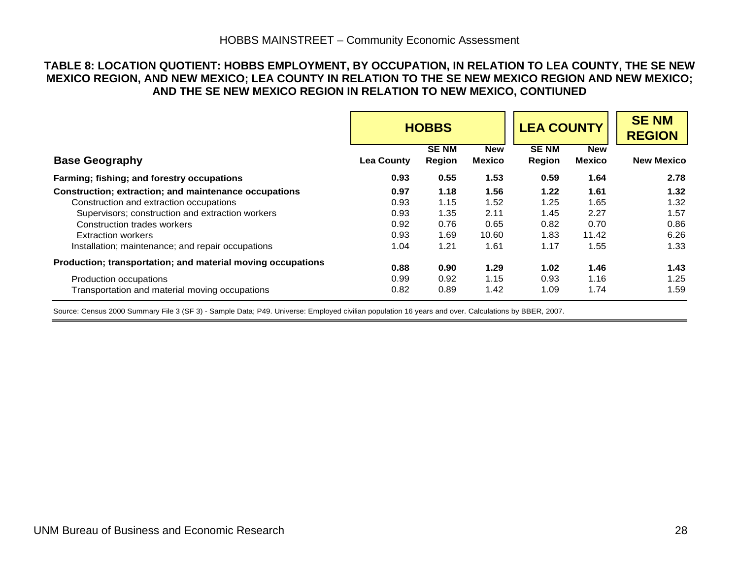#### **TABLE 8: LOCATION QUOTIENT: HOBBS EMPLOYMENT, BY OCCUPATION, IN RELATION TO LEA COUNTY, THE SE NEW MEXICO REGION, AND NEW MEXICO; LEA COUNTY IN RELATION TO THE SE NEW MEXICO REGION AND NEW MEXICO; AND THE SE NEW MEXICO REGION IN RELATION TO NEW MEXICO, CONTIUNED**

|                                                             | <b>LEA COUNTY</b><br><b>HOBBS</b> |                              |                      | <b>SENM</b><br><b>REGION</b> |                             |                   |
|-------------------------------------------------------------|-----------------------------------|------------------------------|----------------------|------------------------------|-----------------------------|-------------------|
| <b>Base Geography</b>                                       | <b>Lea County</b>                 | <b>SENM</b><br><b>Region</b> | <b>New</b><br>Mexico | <b>SENM</b><br>Region        | <b>New</b><br><b>Mexico</b> | <b>New Mexico</b> |
| Farming; fishing; and forestry occupations                  | 0.93                              | 0.55                         | 1.53                 | 0.59                         | 1.64                        | 2.78              |
| Construction; extraction; and maintenance occupations       | 0.97                              | 1.18                         | 1.56                 | 1.22                         | 1.61                        | 1.32              |
| Construction and extraction occupations                     | 0.93                              | 1.15                         | 1.52                 | 1.25                         | 1.65                        | 1.32              |
| Supervisors; construction and extraction workers            | 0.93                              | 1.35                         | 2.11                 | 1.45                         | 2.27                        | 1.57              |
| Construction trades workers                                 | 0.92                              | 0.76                         | 0.65                 | 0.82                         | 0.70                        | 0.86              |
| <b>Extraction workers</b>                                   | 0.93                              | 1.69                         | 10.60                | 1.83                         | 11.42                       | 6.26              |
| Installation; maintenance; and repair occupations           | 1.04                              | 1.21                         | 1.61                 | 1.17                         | 1.55                        | 1.33              |
| Production; transportation; and material moving occupations | 0.88                              | 0.90                         | 1.29                 | 1.02                         | 1.46                        | 1.43              |
| Production occupations                                      | 0.99                              | 0.92                         | 1.15                 | 0.93                         | 1.16                        | 1.25              |
| Transportation and material moving occupations              | 0.82                              | 0.89                         | 1.42                 | 1.09                         | 1.74                        | 1.59              |

Source: Census 2000 Summary File 3 (SF 3) - Sample Data; P49. Universe: Employed civilian population 16 years and over. Calculations by BBER, 2007.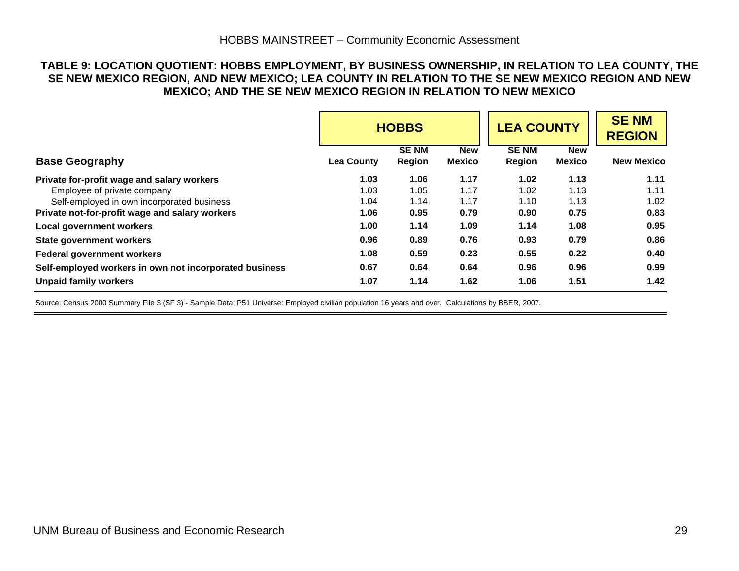#### **TABLE 9: LOCATION QUOTIENT: HOBBS EMPLOYMENT, BY BUSINESS OWNERSHIP, IN RELATION TO LEA COUNTY, THE SE NEW MEXICO REGION, AND NEW MEXICO; LEA COUNTY IN RELATION TO THE SE NEW MEXICO REGION AND NEW MEXICO; AND THE SE NEW MEXICO REGION IN RELATION TO NEW MEXICO**

|                                                        | <b>LEA COUNTY</b><br><b>HOBBS</b> |                       |                             |                       | <b>SENM</b><br><b>REGION</b> |                   |
|--------------------------------------------------------|-----------------------------------|-----------------------|-----------------------------|-----------------------|------------------------------|-------------------|
| <b>Base Geography</b>                                  | <b>Lea County</b>                 | <b>SENM</b><br>Region | <b>New</b><br><b>Mexico</b> | <b>SENM</b><br>Region | <b>New</b><br><b>Mexico</b>  | <b>New Mexico</b> |
| Private for-profit wage and salary workers             | 1.03                              | 1.06                  | 1.17                        | 1.02                  | 1.13                         | 1.11              |
| Employee of private company                            | 1.03                              | 1.05                  | 1.17                        | 1.02                  | 1.13                         | 1.11              |
| Self-employed in own incorporated business             | 1.04                              | 1.14                  | 1.17                        | 1.10                  | 1.13                         | 1.02              |
| Private not-for-profit wage and salary workers         | 1.06                              | 0.95                  | 0.79                        | 0.90                  | 0.75                         | 0.83              |
| <b>Local government workers</b>                        | 1.00                              | 1.14                  | 1.09                        | 1.14                  | 1.08                         | 0.95              |
| <b>State government workers</b>                        | 0.96                              | 0.89                  | 0.76                        | 0.93                  | 0.79                         | 0.86              |
| <b>Federal government workers</b>                      | 1.08                              | 0.59                  | 0.23                        | 0.55                  | 0.22                         | 0.40              |
| Self-employed workers in own not incorporated business | 0.67                              | 0.64                  | 0.64                        | 0.96                  | 0.96                         | 0.99              |
| <b>Unpaid family workers</b>                           | 1.07                              | 1.14                  | 1.62                        | 1.06                  | 1.51                         | 1.42              |

Source: Census 2000 Summary File 3 (SF 3) - Sample Data; P51 Universe: Employed civilian population 16 years and over. Calculations by BBER, 2007.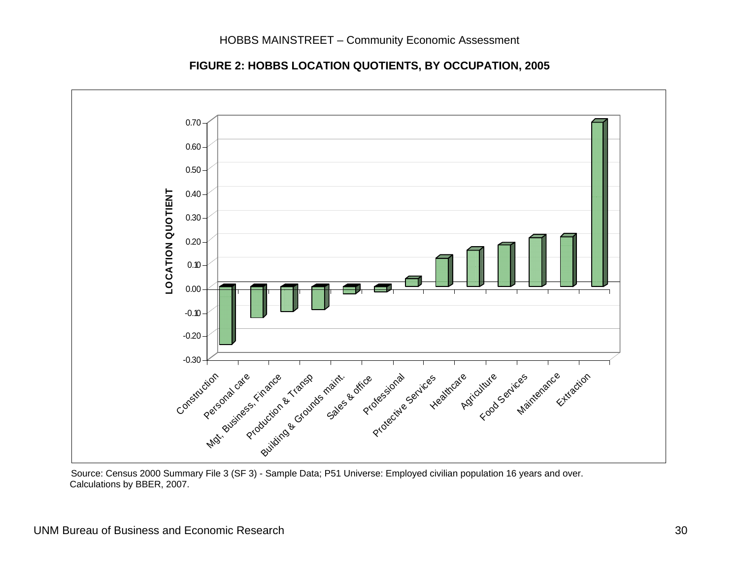

**FIGURE 2: HOBBS LOCATION QUOTIENTS, BY OCCUPATION, 2005** 

Source: Census 2000 Summary File 3 (SF 3) - Sample Data; P51 Universe: Employed civilian population 16 years and over. Calculations by BBER, 2007.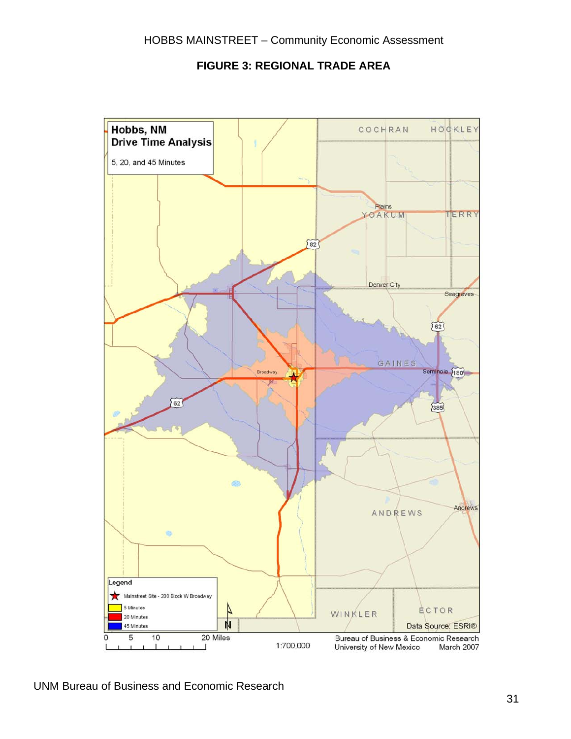

#### **FIGURE 3: REGIONAL TRADE AREA**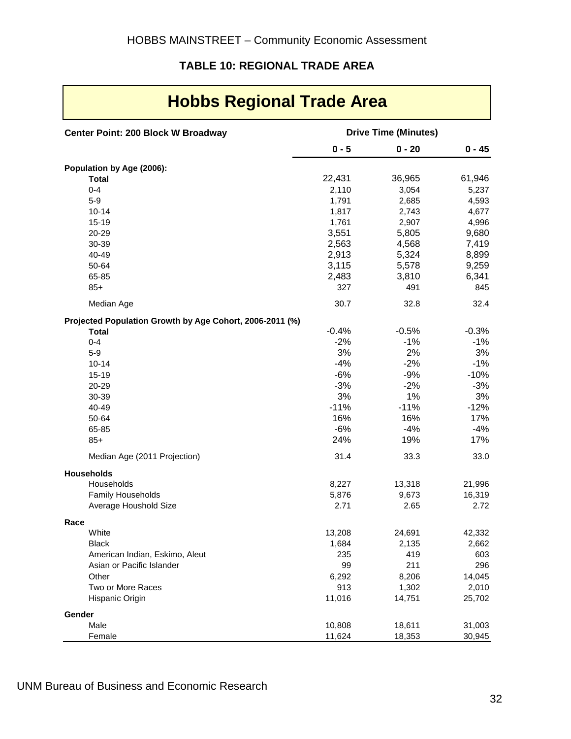## **TABLE 10: REGIONAL TRADE AREA**

| Center Point: 200 Block W Broadway                       |                | <b>Drive Time (Minutes)</b> |                 |
|----------------------------------------------------------|----------------|-----------------------------|-----------------|
|                                                          | $0 - 5$        | $0 - 20$                    | $0 - 45$        |
| Population by Age (2006):                                |                |                             |                 |
| <b>Total</b>                                             | 22,431         | 36,965                      | 61,946          |
| $0 - 4$                                                  | 2,110          | 3,054                       | 5,237           |
| $5-9$                                                    | 1,791          | 2,685                       | 4,593           |
| $10 - 14$                                                | 1,817          | 2,743                       | 4,677           |
| $15 - 19$                                                | 1,761          | 2,907                       | 4,996           |
| 20-29                                                    | 3,551          | 5,805                       | 9,680           |
| 30-39                                                    | 2,563          | 4,568                       | 7,419           |
| 40-49                                                    | 2,913          | 5,324                       | 8,899           |
| 50-64                                                    | 3,115          | 5,578                       | 9,259           |
| 65-85                                                    | 2,483          | 3,810                       | 6,341           |
| $85+$                                                    | 327            | 491                         | 845             |
| Median Age                                               | 30.7           | 32.8                        | 32.4            |
| Projected Population Growth by Age Cohort, 2006-2011 (%) |                |                             |                 |
| <b>Total</b>                                             | $-0.4%$        | $-0.5%$                     | $-0.3%$         |
| $0 - 4$                                                  | $-2%$          | $-1%$                       | $-1%$           |
| $5-9$                                                    | 3%             | 2%                          | 3%              |
| $10 - 14$                                                | $-4%$          | $-2%$                       | $-1%$           |
| $15 - 19$                                                | $-6%$<br>$-3%$ | $-9%$<br>$-2%$              | $-10%$<br>$-3%$ |
| 20-29<br>30-39                                           | 3%             | 1%                          | 3%              |
| 40-49                                                    | $-11%$         | $-11%$                      | $-12%$          |
| 50-64                                                    | 16%            | 16%                         | 17%             |
| 65-85                                                    | $-6%$          | $-4%$                       | $-4%$           |
| $85+$                                                    | 24%            | 19%                         | 17%             |
| Median Age (2011 Projection)                             | 31.4           | 33.3                        | 33.0            |
| <b>Households</b>                                        |                |                             |                 |
| Households                                               | 8,227          | 13,318                      | 21,996          |
| Family Households                                        | 5,876          | 9,673                       | 16,319          |
| Average Houshold Size                                    | 2.71           | 2.65                        | 2.72            |
| Race                                                     |                |                             |                 |
| White                                                    | 13,208         | 24,691                      | 42,332          |
| <b>Black</b>                                             | 1,684          | 2,135                       | 2,662           |
| American Indian, Eskimo, Aleut                           | 235            | 419                         | 603             |
| Asian or Pacific Islander                                | 99             | 211                         | 296             |
| Other                                                    | 6,292          | 8,206                       | 14,045          |
| Two or More Races                                        | 913            | 1,302                       | 2,010           |
| Hispanic Origin                                          | 11,016         | 14,751                      | 25,702          |
| Gender<br>Male                                           | 10,808         | 18,611                      | 31,003          |
| Female                                                   | 11,624         | 18,353                      | 30,945          |
|                                                          |                |                             |                 |

## 

UNM Bureau of Business and Economic Research

**Contract Contract**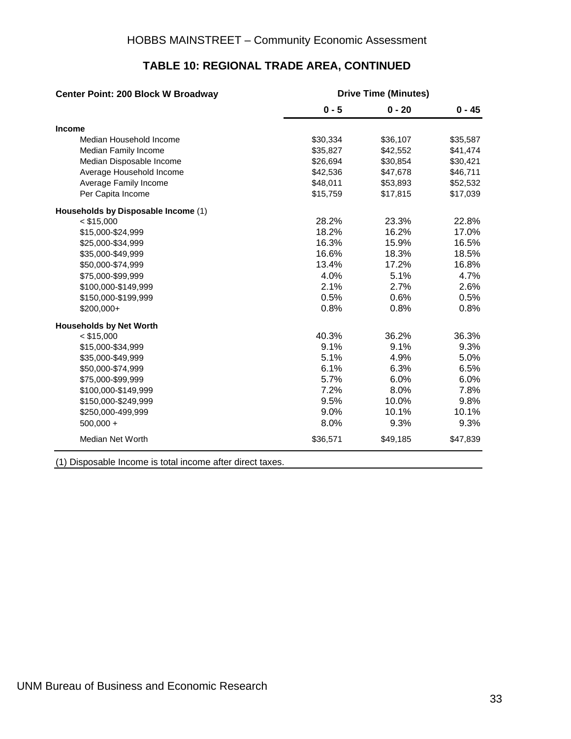| <b>Center Point: 200 Block W Broadway</b> | <b>Drive Time (Minutes)</b> |          |          |  |  |  |
|-------------------------------------------|-----------------------------|----------|----------|--|--|--|
|                                           | $0 - 5$                     | $0 - 20$ | $0 - 45$ |  |  |  |
| Income                                    |                             |          |          |  |  |  |
| Median Household Income                   | \$30,334                    | \$36,107 | \$35,587 |  |  |  |
| Median Family Income                      | \$35,827                    | \$42,552 | \$41,474 |  |  |  |
| Median Disposable Income                  | \$26,694                    | \$30,854 | \$30,421 |  |  |  |
| Average Household Income                  | \$42,536                    | \$47,678 | \$46,711 |  |  |  |
| Average Family Income                     | \$48,011                    | \$53,893 | \$52,532 |  |  |  |
| Per Capita Income                         | \$15,759                    | \$17,815 | \$17,039 |  |  |  |
| Households by Disposable Income (1)       |                             |          |          |  |  |  |
| $<$ \$15,000                              | 28.2%                       | 23.3%    | 22.8%    |  |  |  |
| \$15,000-\$24,999                         | 18.2%                       | 16.2%    | 17.0%    |  |  |  |
| \$25,000-\$34,999                         | 16.3%                       | 15.9%    | 16.5%    |  |  |  |
| \$35,000-\$49,999                         | 16.6%                       | 18.3%    | 18.5%    |  |  |  |
| \$50,000-\$74,999                         | 13.4%                       | 17.2%    | 16.8%    |  |  |  |
| \$75,000-\$99,999                         | 4.0%                        | 5.1%     | 4.7%     |  |  |  |
| \$100,000-\$149,999                       | 2.1%                        | 2.7%     | 2.6%     |  |  |  |
| \$150,000-\$199,999                       | 0.5%                        | 0.6%     | 0.5%     |  |  |  |
| \$200,000+                                | 0.8%                        | 0.8%     | 0.8%     |  |  |  |
| <b>Households by Net Worth</b>            |                             |          |          |  |  |  |
| $<$ \$15,000                              | 40.3%                       | 36.2%    | 36.3%    |  |  |  |
| \$15,000-\$34,999                         | 9.1%                        | 9.1%     | 9.3%     |  |  |  |
| \$35,000-\$49,999                         | 5.1%                        | 4.9%     | 5.0%     |  |  |  |
| \$50,000-\$74,999                         | 6.1%                        | 6.3%     | 6.5%     |  |  |  |
| \$75,000-\$99,999                         | 5.7%                        | 6.0%     | 6.0%     |  |  |  |
| \$100,000-\$149,999                       | 7.2%                        | 8.0%     | 7.8%     |  |  |  |
| \$150,000-\$249,999                       | 9.5%                        | 10.0%    | 9.8%     |  |  |  |
| \$250,000-499,999                         | 9.0%                        | 10.1%    | 10.1%    |  |  |  |
| $500,000 +$                               | 8.0%                        | 9.3%     | 9.3%     |  |  |  |
| Median Net Worth                          | \$36,571                    | \$49,185 | \$47,839 |  |  |  |

#### **TABLE 10: REGIONAL TRADE AREA, CONTINUED**

(1) Disposable Income is total income after direct taxes.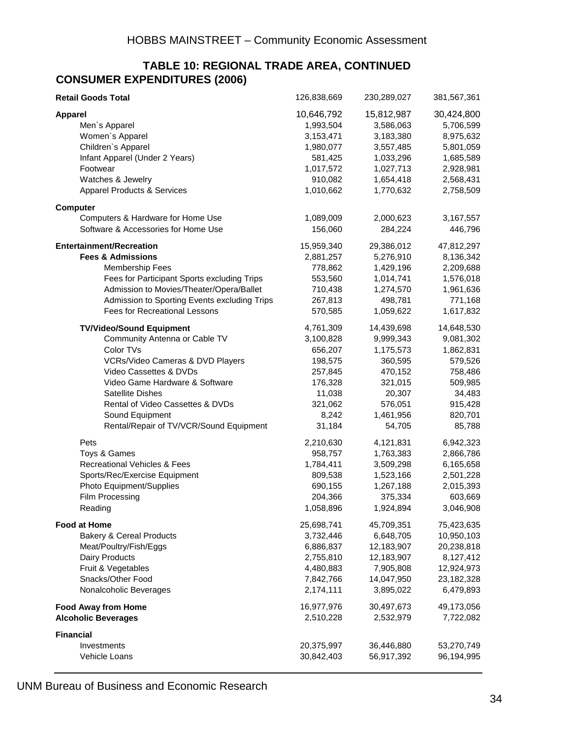#### **TABLE 10: REGIONAL TRADE AREA, CONTINUED CONSUMER EXPENDITURES (2006)**

| <b>Retail Goods Total</b>                    | 126,838,669 | 230,289,027 | 381,567,361 |
|----------------------------------------------|-------------|-------------|-------------|
| <b>Apparel</b>                               | 10,646,792  | 15,812,987  | 30,424,800  |
| Men's Apparel                                | 1,993,504   | 3,586,063   | 5,706,599   |
| Women's Apparel                              | 3,153,471   | 3,183,380   | 8,975,632   |
| Children's Apparel                           | 1,980,077   | 3,557,485   | 5,801,059   |
| Infant Apparel (Under 2 Years)               | 581,425     | 1,033,296   | 1,685,589   |
| Footwear                                     | 1,017,572   | 1,027,713   | 2,928,981   |
| Watches & Jewelry                            | 910,082     | 1,654,418   | 2,568,431   |
| <b>Apparel Products &amp; Services</b>       | 1,010,662   | 1,770,632   | 2,758,509   |
| <b>Computer</b>                              |             |             |             |
| Computers & Hardware for Home Use            | 1,089,009   | 2,000,623   | 3,167,557   |
| Software & Accessories for Home Use          | 156,060     | 284,224     | 446,796     |
| <b>Entertainment/Recreation</b>              | 15,959,340  | 29,386,012  | 47,812,297  |
| <b>Fees &amp; Admissions</b>                 | 2,881,257   | 5,276,910   | 8,136,342   |
| <b>Membership Fees</b>                       | 778,862     | 1,429,196   | 2,209,688   |
| Fees for Participant Sports excluding Trips  | 553,560     | 1,014,741   | 1,576,018   |
| Admission to Movies/Theater/Opera/Ballet     | 710,438     | 1,274,570   | 1,961,636   |
| Admission to Sporting Events excluding Trips | 267,813     | 498,781     | 771,168     |
| <b>Fees for Recreational Lessons</b>         | 570,585     | 1,059,622   | 1,617,832   |
| <b>TV/Video/Sound Equipment</b>              | 4,761,309   | 14,439,698  | 14,648,530  |
| Community Antenna or Cable TV                | 3,100,828   | 9,999,343   | 9,081,302   |
| Color TVs                                    | 656,207     | 1,175,573   | 1,862,831   |
| VCRs/Video Cameras & DVD Players             | 198,575     | 360,595     | 579,526     |
| Video Cassettes & DVDs                       | 257,845     | 470,152     | 758,486     |
| Video Game Hardware & Software               | 176,328     | 321,015     | 509,985     |
| <b>Satellite Dishes</b>                      | 11,038      | 20,307      | 34,483      |
| Rental of Video Cassettes & DVDs             | 321,062     | 576,051     | 915,428     |
| Sound Equipment                              | 8,242       | 1,461,956   | 820,701     |
| Rental/Repair of TV/VCR/Sound Equipment      | 31,184      | 54,705      | 85,788      |
| Pets                                         | 2,210,630   | 4,121,831   | 6,942,323   |
| Toys & Games                                 | 958,757     | 1,763,383   | 2,866,786   |
| Recreational Vehicles & Fees                 | 1,784,411   | 3,509,298   | 6,165,658   |
| Sports/Rec/Exercise Equipment                | 809,538     | 1,523,166   | 2,501,228   |
| Photo Equipment/Supplies                     | 690,155     | 1,267,188   | 2,015,393   |
| Film Processing                              | 204,366     | 375,334     | 603,669     |
| Reading                                      | 1,058,896   | 1,924,894   | 3,046,908   |
| <b>Food at Home</b>                          | 25,698,741  | 45,709,351  | 75,423,635  |
| <b>Bakery &amp; Cereal Products</b>          | 3,732,446   | 6,648,705   | 10,950,103  |
| Meat/Poultry/Fish/Eggs                       | 6,886,837   | 12,183,907  | 20,238,818  |
| Dairy Products                               | 2,755,810   | 12,183,907  | 8,127,412   |
| Fruit & Vegetables                           | 4,480,883   | 7,905,808   | 12,924,973  |
| Snacks/Other Food                            | 7,842,766   | 14,047,950  | 23,182,328  |
| Nonalcoholic Beverages                       | 2,174,111   | 3,895,022   | 6,479,893   |
| <b>Food Away from Home</b>                   | 16,977,976  | 30,497,673  | 49,173,056  |
| <b>Alcoholic Beverages</b>                   | 2,510,228   | 2,532,979   | 7,722,082   |
| <b>Financial</b>                             |             |             |             |
| Investments                                  | 20,375,997  | 36,446,880  | 53,270,749  |
| Vehicle Loans                                | 30,842,403  | 56,917,392  | 96,194,995  |

UNM Bureau of Business and Economic Research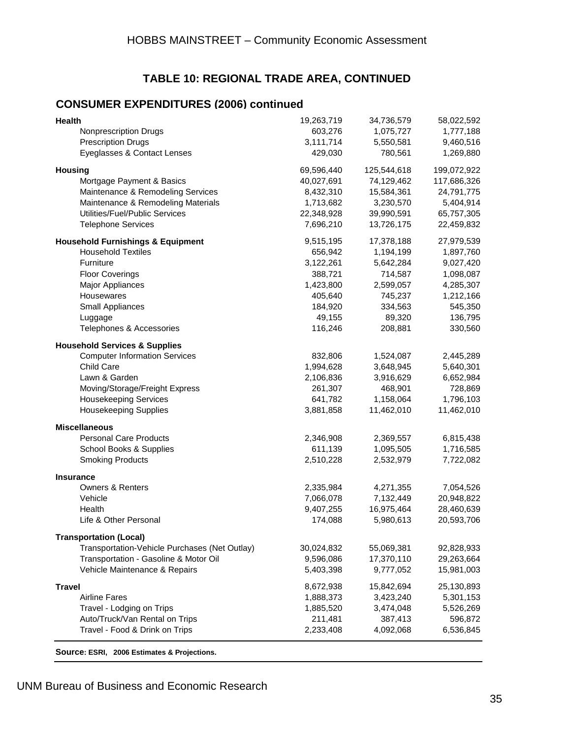## **TABLE 10: REGIONAL TRADE AREA, CONTINUED**

#### **CONSUMER EXPENDITURES (2006) continued**

| Health                                        | 19,263,719 | 34,736,579  | 58,022,592  |
|-----------------------------------------------|------------|-------------|-------------|
| <b>Nonprescription Drugs</b>                  | 603,276    | 1,075,727   | 1,777,188   |
| <b>Prescription Drugs</b>                     | 3,111,714  | 5,550,581   | 9,460,516   |
| Eyeglasses & Contact Lenses                   | 429,030    | 780,561     | 1,269,880   |
| <b>Housing</b>                                | 69,596,440 | 125,544,618 | 199,072,922 |
| Mortgage Payment & Basics                     | 40,027,691 | 74,129,462  | 117,686,326 |
| Maintenance & Remodeling Services             | 8,432,310  | 15,584,361  | 24,791,775  |
| Maintenance & Remodeling Materials            | 1,713,682  | 3,230,570   | 5,404,914   |
| Utilities/Fuel/Public Services                | 22,348,928 | 39,990,591  | 65,757,305  |
| <b>Telephone Services</b>                     | 7,696,210  | 13,726,175  | 22,459,832  |
| <b>Household Furnishings &amp; Equipment</b>  | 9,515,195  | 17,378,188  | 27,979,539  |
| <b>Household Textiles</b>                     | 656,942    | 1,194,199   | 1,897,760   |
| Furniture                                     | 3,122,261  | 5,642,284   | 9,027,420   |
| <b>Floor Coverings</b>                        | 388,721    | 714,587     | 1,098,087   |
| <b>Major Appliances</b>                       | 1,423,800  | 2,599,057   | 4,285,307   |
| Housewares                                    | 405,640    | 745,237     | 1,212,166   |
| Small Appliances                              | 184,920    | 334,563     | 545,350     |
| Luggage                                       | 49,155     | 89,320      | 136,795     |
| Telephones & Accessories                      | 116,246    | 208,881     | 330,560     |
| <b>Household Services &amp; Supplies</b>      |            |             |             |
| <b>Computer Information Services</b>          | 832,806    | 1,524,087   | 2,445,289   |
| Child Care                                    | 1,994,628  | 3,648,945   | 5,640,301   |
| Lawn & Garden                                 | 2,106,836  | 3,916,629   | 6,652,984   |
| Moving/Storage/Freight Express                | 261,307    | 468,901     | 728,869     |
| <b>Housekeeping Services</b>                  | 641,782    | 1,158,064   | 1,796,103   |
| <b>Housekeeping Supplies</b>                  | 3,881,858  | 11,462,010  | 11,462,010  |
| <b>Miscellaneous</b>                          |            |             |             |
| <b>Personal Care Products</b>                 | 2,346,908  | 2,369,557   | 6,815,438   |
| School Books & Supplies                       | 611,139    | 1,095,505   | 1,716,585   |
| <b>Smoking Products</b>                       | 2,510,228  | 2,532,979   | 7,722,082   |
| <b>Insurance</b>                              |            |             |             |
| <b>Owners &amp; Renters</b>                   | 2,335,984  | 4,271,355   | 7,054,526   |
| Vehicle                                       | 7,066,078  | 7,132,449   | 20,948,822  |
| Health                                        | 9,407,255  | 16,975,464  | 28,460,639  |
| Life & Other Personal                         | 174,088    | 5,980,613   | 20,593,706  |
| <b>Transportation (Local)</b>                 |            |             |             |
| Transportation-Vehicle Purchases (Net Outlay) | 30,024,832 | 55,069,381  | 92,828,933  |
| Transportation - Gasoline & Motor Oil         | 9,596,086  | 17,370,110  | 29,263,664  |
| Vehicle Maintenance & Repairs                 | 5,403,398  | 9,777,052   | 15,981,003  |
| <b>Travel</b>                                 | 8,672,938  | 15,842,694  | 25,130,893  |
| <b>Airline Fares</b>                          | 1,888,373  | 3,423,240   | 5,301,153   |
| Travel - Lodging on Trips                     | 1,885,520  | 3,474,048   | 5,526,269   |
| Auto/Truck/Van Rental on Trips                | 211,481    | 387,413     | 596,872     |
| Travel - Food & Drink on Trips                | 2,233,408  | 4,092,068   | 6,536,845   |
| Source: ESRI, 2006 Estimates & Projections.   |            |             |             |

UNM Bureau of Business and Economic Research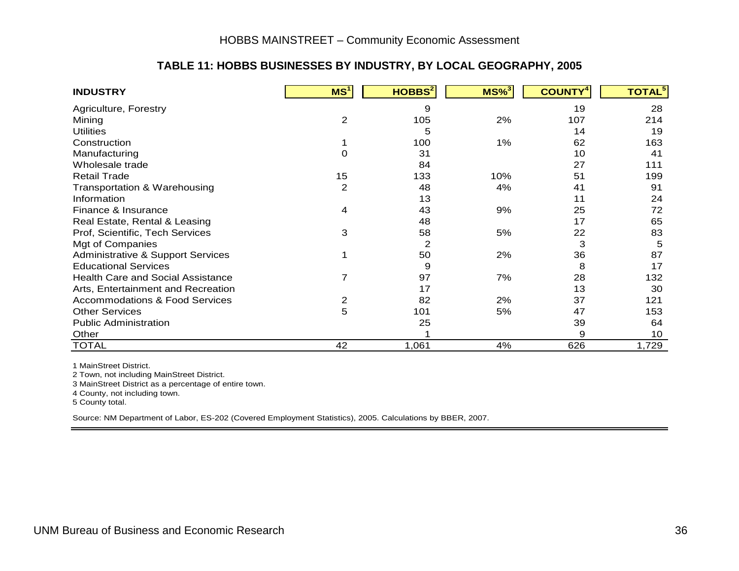#### **TABLE 11: HOBBS BUSINESSES BY INDUSTRY, BY LOCAL GEOGRAPHY, 2005**

| <b>INDUSTRY</b>                           | MS <sup>1</sup> | HOBBS <sup>2</sup> | $MS\%$ <sup>3</sup> | <b>COUNTY<sup>4</sup></b> | <b>TOTAL</b> <sup>5</sup> |
|-------------------------------------------|-----------------|--------------------|---------------------|---------------------------|---------------------------|
| Agriculture, Forestry                     |                 | 9                  |                     | 19                        | 28                        |
| Mining                                    | 2               | 105                | 2%                  | 107                       | 214                       |
| <b>Utilities</b>                          |                 | 5                  |                     | 14                        | 19                        |
| Construction                              |                 | 100                | 1%                  | 62                        | 163                       |
| Manufacturing                             | 0               | 31                 |                     | 10                        | 41                        |
| Wholesale trade                           |                 | 84                 |                     | 27                        | 111                       |
| <b>Retail Trade</b>                       | 15              | 133                | 10%                 | 51                        | 199                       |
| Transportation & Warehousing              | $\overline{2}$  | 48                 | 4%                  | 41                        | 91                        |
| Information                               |                 | 13                 |                     | 11                        | 24                        |
| Finance & Insurance                       | 4               | 43                 | 9%                  | 25                        | 72                        |
| Real Estate, Rental & Leasing             |                 | 48                 |                     | 17                        | 65                        |
| Prof, Scientific, Tech Services           | 3               | 58                 | 5%                  | 22                        | 83                        |
| Mgt of Companies                          |                 | 2                  |                     | 3                         | 5                         |
| Administrative & Support Services         |                 | 50                 | 2%                  | 36                        | 87                        |
| <b>Educational Services</b>               |                 | 9                  |                     | 8                         | 17                        |
| <b>Health Care and Social Assistance</b>  | 7               | 97                 | 7%                  | 28                        | 132                       |
| Arts, Entertainment and Recreation        |                 | 17                 |                     | 13                        | 30                        |
| <b>Accommodations &amp; Food Services</b> | 2               | 82                 | 2%                  | 37                        | 121                       |
| <b>Other Services</b>                     | 5               | 101                | 5%                  | 47                        | 153                       |
| <b>Public Administration</b>              |                 | 25                 |                     | 39                        | 64                        |
| Other                                     |                 |                    |                     | 9                         | 10                        |
| <b>TOTAL</b>                              | 42              | 1,061              | 4%                  | 626                       | 1,729                     |

1 MainStreet District.

2 Town, not including MainStreet District.

3 MainStreet District as a percentage of entire town.

4 County, not including town.

5 County total.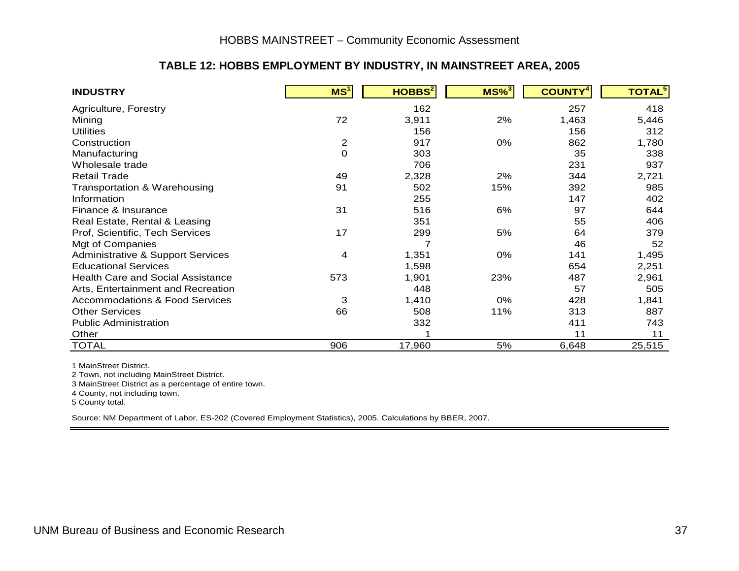#### **TABLE 12: HOBBS EMPLOYMENT BY INDUSTRY, IN MAINSTREET AREA, 2005**

| <b>INDUSTRY</b>                              | MS <sup>1</sup>  | HOBBS <sup>2</sup> | $MS\%$ <sup>3</sup> | <b>COUNTY</b> | <b>TOTAL<sup>5</sup></b> |
|----------------------------------------------|------------------|--------------------|---------------------|---------------|--------------------------|
| Agriculture, Forestry                        |                  | 162                |                     | 257           | 418                      |
| Mining                                       | 72               | 3,911              | 2%                  | 1,463         | 5,446                    |
| <b>Utilities</b>                             |                  | 156                |                     | 156           | 312                      |
| Construction                                 | $\overline{2}$   | 917                | 0%                  | 862           | 1,780                    |
| Manufacturing                                | $\boldsymbol{0}$ | 303                |                     | 35            | 338                      |
| Wholesale trade                              |                  | 706                |                     | 231           | 937                      |
| <b>Retail Trade</b>                          | 49               | 2,328              | 2%                  | 344           | 2,721                    |
| Transportation & Warehousing                 | 91               | 502                | 15%                 | 392           | 985                      |
| Information                                  |                  | 255                |                     | 147           | 402                      |
| Finance & Insurance                          | 31               | 516                | 6%                  | 97            | 644                      |
| Real Estate, Rental & Leasing                |                  | 351                |                     | 55            | 406                      |
| Prof, Scientific, Tech Services              | 17               | 299                | 5%                  | 64            | 379                      |
| Mgt of Companies                             |                  | 7                  |                     | 46            | 52                       |
| <b>Administrative &amp; Support Services</b> | 4                | 1,351              | 0%                  | 141           | 1,495                    |
| <b>Educational Services</b>                  |                  | 1,598              |                     | 654           | 2,251                    |
| <b>Health Care and Social Assistance</b>     | 573              | 1,901              | 23%                 | 487           | 2,961                    |
| Arts, Entertainment and Recreation           |                  | 448                |                     | 57            | 505                      |
| <b>Accommodations &amp; Food Services</b>    | 3                | 1,410              | 0%                  | 428           | 1,841                    |
| <b>Other Services</b>                        | 66               | 508                | 11%                 | 313           | 887                      |
| <b>Public Administration</b>                 |                  | 332                |                     | 411           | 743                      |
| Other                                        |                  |                    |                     | 11            | 11                       |
| <b>TOTAL</b>                                 | 906              | 17,960             | 5%                  | 6,648         | 25,515                   |

1 MainStreet District.

2 Town, not including MainStreet District.

3 MainStreet District as a percentage of entire town.

4 County, not including town.

5 County total.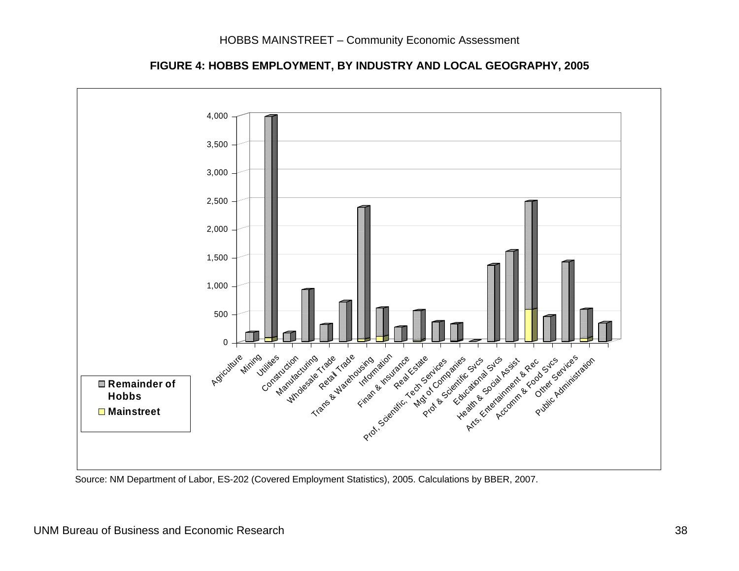

**FIGURE 4: HOBBS EMPLOYMENT, BY INDUSTRY AND LOCAL GEOGRAPHY, 2005**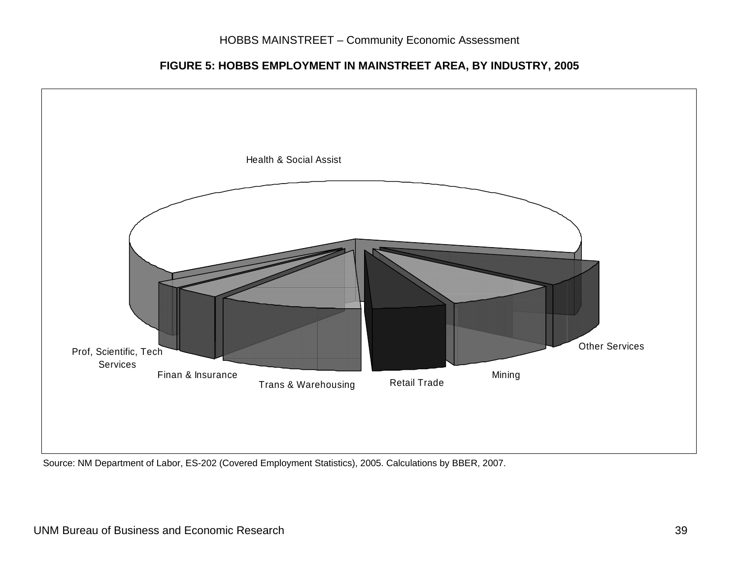#### **FIGURE 5: HOBBS EMPLOYMENT IN MAINSTREET AREA, BY INDUSTRY, 2005**



Source: NM Department of Labor, ES-202 (Covered Employment Statistics), 2005. Calculations by BBER, 2007.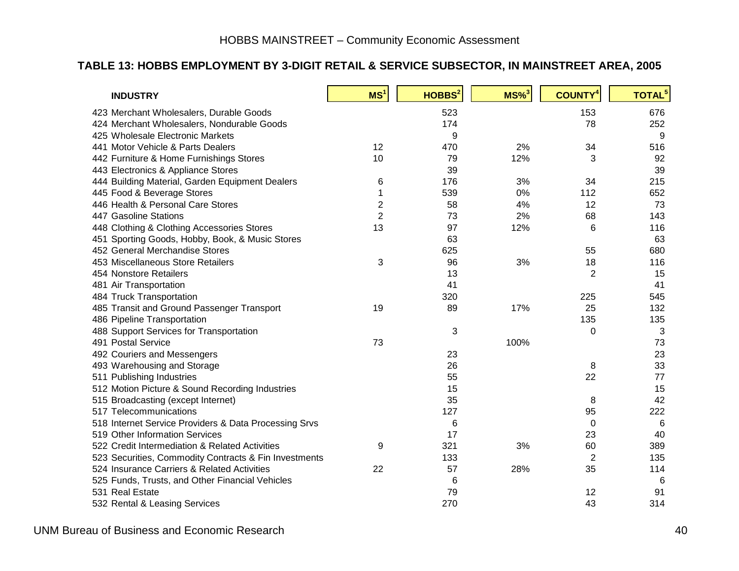#### **TABLE 13: HOBBS EMPLOYMENT BY 3-DIGIT RETAIL & SERVICE SUBSECTOR, IN MAINSTREET AREA, 2005**

| <b>INDUSTRY</b>                                                                   | MS <sup>1</sup> | HOBBS <sup>2</sup> | $MS\%$ <sup>3</sup> | <b>COUNTY<sup>4</sup></b> | <b>TOTAL<sup>5</sup></b> |
|-----------------------------------------------------------------------------------|-----------------|--------------------|---------------------|---------------------------|--------------------------|
| 423 Merchant Wholesalers, Durable Goods                                           |                 | 523                |                     | 153                       | 676                      |
| 424 Merchant Wholesalers, Nondurable Goods                                        |                 | 174                |                     | 78                        | 252                      |
| 425 Wholesale Electronic Markets                                                  |                 | 9                  |                     |                           | 9                        |
| 441 Motor Vehicle & Parts Dealers                                                 | 12              | 470                | 2%                  | 34                        | 516                      |
| 442 Furniture & Home Furnishings Stores                                           | 10              | 79                 | 12%                 | 3                         | 92                       |
| 443 Electronics & Appliance Stores                                                |                 | 39                 |                     |                           | 39                       |
| 444 Building Material, Garden Equipment Dealers                                   | 6               | 176                | 3%                  | 34                        | 215                      |
| 445 Food & Beverage Stores                                                        | 1               | 539                | 0%                  | 112                       | 652                      |
| 446 Health & Personal Care Stores                                                 | $\overline{2}$  | 58                 | 4%                  | 12                        | 73                       |
| 447 Gasoline Stations                                                             | $\overline{2}$  | 73                 | 2%                  | 68                        | 143                      |
| 448 Clothing & Clothing Accessories Stores                                        | 13              | 97                 | 12%                 | 6                         | 116                      |
|                                                                                   |                 | 63                 |                     |                           | 63                       |
| 451 Sporting Goods, Hobby, Book, & Music Stores<br>452 General Merchandise Stores |                 | 625                |                     |                           | 680                      |
| 453 Miscellaneous Store Retailers                                                 |                 |                    |                     | 55                        |                          |
|                                                                                   | 3               | 96                 | 3%                  | 18                        | 116                      |
| 454 Nonstore Retailers                                                            |                 | 13                 |                     | 2                         | 15                       |
| 481 Air Transportation                                                            |                 | 41                 |                     |                           | 41                       |
| 484 Truck Transportation                                                          |                 | 320                |                     | 225                       | 545                      |
| 485 Transit and Ground Passenger Transport                                        | 19              | 89                 | 17%                 | 25                        | 132                      |
| 486 Pipeline Transportation                                                       |                 |                    |                     | 135                       | 135                      |
| 488 Support Services for Transportation                                           |                 | 3                  |                     | 0                         | 3                        |
| 491 Postal Service                                                                | 73              |                    | 100%                |                           | 73                       |
| 492 Couriers and Messengers                                                       |                 | 23                 |                     |                           | 23                       |
| 493 Warehousing and Storage                                                       |                 | 26                 |                     | 8                         | 33                       |
| 511 Publishing Industries                                                         |                 | 55                 |                     | 22                        | 77                       |
| 512 Motion Picture & Sound Recording Industries                                   |                 | 15                 |                     |                           | 15                       |
| 515 Broadcasting (except Internet)                                                |                 | 35                 |                     | 8                         | 42                       |
| 517 Telecommunications                                                            |                 | 127                |                     | 95                        | 222                      |
| 518 Internet Service Providers & Data Processing Srvs                             |                 | 6                  |                     | 0                         | 6                        |
| 519 Other Information Services                                                    |                 | 17                 |                     | 23                        | 40                       |
| 522 Credit Intermediation & Related Activities                                    | 9               | 321                | 3%                  | 60                        | 389                      |
| 523 Securities, Commodity Contracts & Fin Investments                             |                 | 133                |                     | $\overline{2}$            | 135                      |
| 524 Insurance Carriers & Related Activities                                       | 22              | 57                 | 28%                 | 35                        | 114                      |
| 525 Funds, Trusts, and Other Financial Vehicles                                   |                 | 6                  |                     |                           | 6                        |
| 531 Real Estate                                                                   |                 | 79                 |                     | 12                        | 91                       |
| 532 Rental & Leasing Services                                                     |                 | 270                |                     | 43                        | 314                      |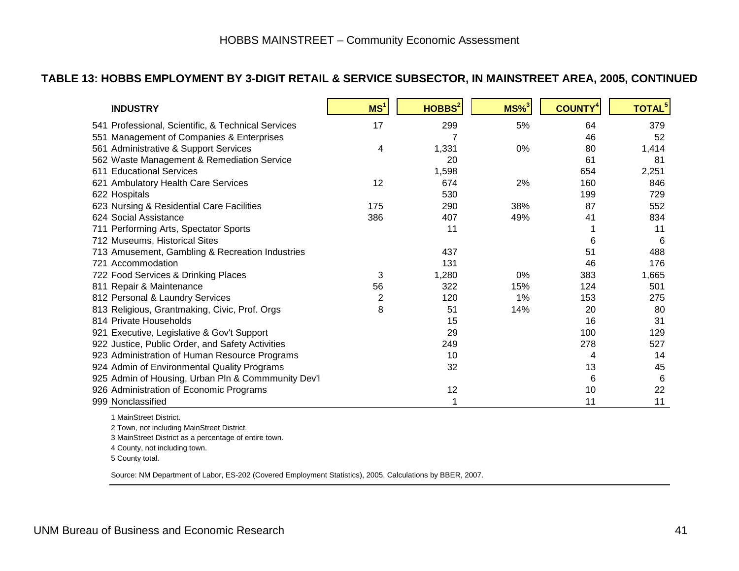#### **TABLE 13: HOBBS EMPLOYMENT BY 3-DIGIT RETAIL & SERVICE SUBSECTOR, IN MAINSTREET AREA, 2005, CONTINUED**

| <b>INDUSTRY</b>                                    | MS <sup>1</sup> | HOBBS <sup>2</sup> | $MS\%$ <sup>3</sup> | <b>COUNTY<sup>4</sup></b> | <b>TOTAL</b> <sup>5</sup> |
|----------------------------------------------------|-----------------|--------------------|---------------------|---------------------------|---------------------------|
| 541 Professional, Scientific, & Technical Services | 17              | 299                | 5%                  | 64                        | 379                       |
| 551 Management of Companies & Enterprises          |                 | 7                  |                     | 46                        | 52                        |
| 561 Administrative & Support Services              | 4               | 1,331              | 0%                  | 80                        | 1,414                     |
| 562 Waste Management & Remediation Service         |                 | 20                 |                     | 61                        | 81                        |
| 611 Educational Services                           |                 | 1,598              |                     | 654                       | 2,251                     |
| 621 Ambulatory Health Care Services                | 12              | 674                | 2%                  | 160                       | 846                       |
| 622 Hospitals                                      |                 | 530                |                     | 199                       | 729                       |
| 623 Nursing & Residential Care Facilities          | 175             | 290                | 38%                 | 87                        | 552                       |
| 624 Social Assistance                              | 386             | 407                | 49%                 | 41                        | 834                       |
| 711 Performing Arts, Spectator Sports              |                 | 11                 |                     |                           | 11                        |
| 712 Museums, Historical Sites                      |                 |                    |                     | 6                         | 6                         |
| 713 Amusement, Gambling & Recreation Industries    |                 | 437                |                     | 51                        | 488                       |
| 721 Accommodation                                  |                 | 131                |                     | 46                        | 176                       |
| 722 Food Services & Drinking Places                | 3               | 1,280              | 0%                  | 383                       | 1,665                     |
| 811 Repair & Maintenance                           | 56              | 322                | 15%                 | 124                       | 501                       |
| 812 Personal & Laundry Services                    | 2               | 120                | 1%                  | 153                       | 275                       |
| 813 Religious, Grantmaking, Civic, Prof. Orgs      | 8               | 51                 | 14%                 | 20                        | 80                        |
| 814 Private Households                             |                 | 15                 |                     | 16                        | 31                        |
| 921 Executive, Legislative & Gov't Support         |                 | 29                 |                     | 100                       | 129                       |
| 922 Justice, Public Order, and Safety Activities   |                 | 249                |                     | 278                       | 527                       |
| 923 Administration of Human Resource Programs      |                 | 10                 |                     | 4                         | 14                        |
| 924 Admin of Environmental Quality Programs        |                 | 32                 |                     | 13                        | 45                        |
| 925 Admin of Housing, Urban Pln & Commmunity Dev'l |                 |                    |                     | 6                         | 6                         |
| 926 Administration of Economic Programs            |                 | 12                 |                     | 10                        | 22                        |
| 999 Nonclassified                                  |                 |                    |                     | 11                        | 11                        |

1 MainStreet District.

2 Town, not including MainStreet District.

3 MainStreet District as a percentage of entire town.

4 County, not including town.

5 County total.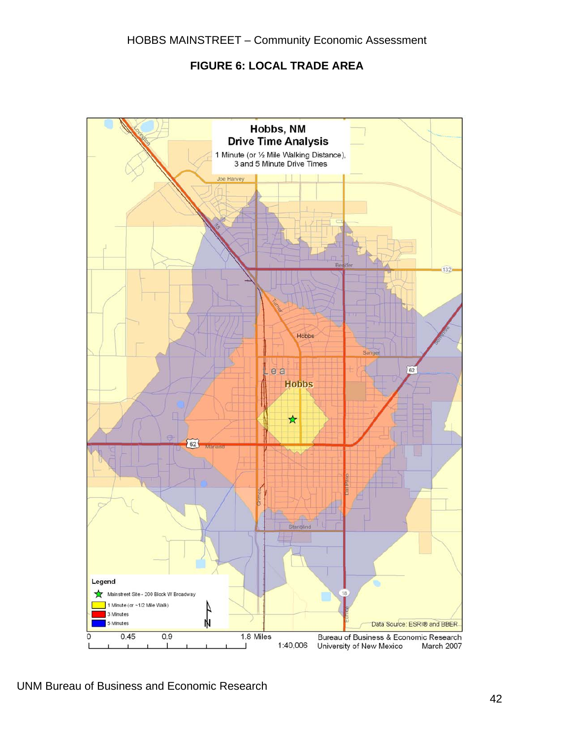#### **FIGURE 6: LOCAL TRADE AREA**

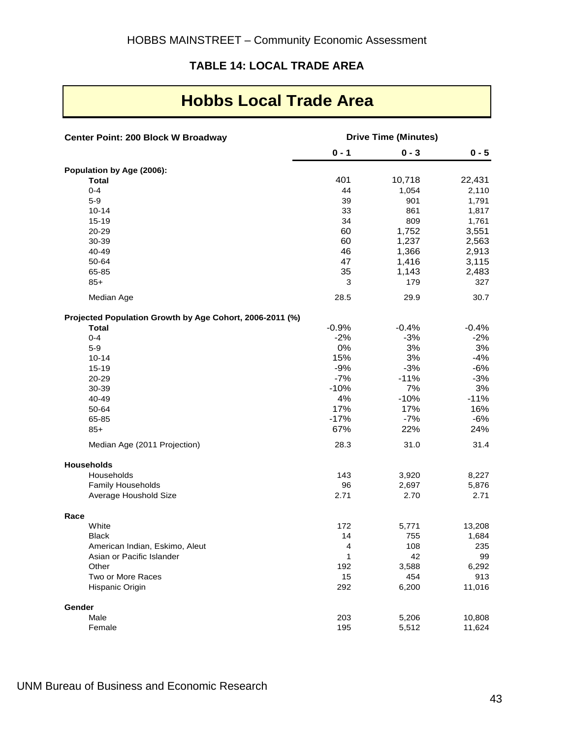#### **TABLE 14: LOCAL TRADE AREA**

## **Hobbs Local Trade Area**

| Center Point: 200 Block W Broadway                       | <b>Drive Time (Minutes)</b> |         |         |  |
|----------------------------------------------------------|-----------------------------|---------|---------|--|
|                                                          | $0 - 1$                     | $0 - 3$ | $0 - 5$ |  |
| Population by Age (2006):                                |                             |         |         |  |
| <b>Total</b>                                             | 401                         | 10,718  | 22,431  |  |
| $0 - 4$                                                  | 44                          | 1,054   | 2,110   |  |
| $5-9$                                                    | 39                          | 901     | 1,791   |  |
| $10 - 14$                                                | 33                          | 861     | 1,817   |  |
| 15-19                                                    | 34                          | 809     | 1,761   |  |
| 20-29                                                    | 60                          | 1,752   | 3,551   |  |
| 30-39                                                    | 60                          | 1,237   | 2,563   |  |
| 40-49                                                    | 46                          | 1,366   | 2,913   |  |
| 50-64                                                    | 47                          | 1,416   | 3,115   |  |
| 65-85                                                    | 35                          | 1,143   | 2,483   |  |
| $85+$                                                    | 3                           | 179     | 327     |  |
| Median Age                                               | 28.5                        | 29.9    | 30.7    |  |
| Projected Population Growth by Age Cohort, 2006-2011 (%) |                             |         |         |  |
| <b>Total</b>                                             | $-0.9%$                     | $-0.4%$ | $-0.4%$ |  |
| $0 - 4$                                                  | $-2%$                       | $-3%$   | $-2%$   |  |
| $5-9$                                                    | 0%                          | 3%      | 3%      |  |
| $10 - 14$                                                | 15%                         | 3%      | $-4%$   |  |
| $15 - 19$                                                | $-9%$                       | $-3%$   | -6%     |  |
| 20-29                                                    | $-7%$                       | $-11%$  | $-3%$   |  |
| 30-39                                                    | $-10%$                      | 7%      | 3%      |  |
| 40-49                                                    | 4%                          | $-10%$  | $-11%$  |  |
| 50-64                                                    | 17%                         | 17%     | 16%     |  |
| 65-85                                                    | $-17%$                      | $-7%$   | $-6%$   |  |
| $85+$                                                    | 67%                         | 22%     | 24%     |  |
| Median Age (2011 Projection)                             | 28.3                        | 31.0    | 31.4    |  |
| <b>Households</b>                                        |                             |         |         |  |
| Households                                               | 143                         | 3,920   | 8,227   |  |
| Family Households                                        | 96                          | 2,697   | 5,876   |  |
| Average Houshold Size                                    | 2.71                        | 2.70    | 2.71    |  |
| Race                                                     |                             |         |         |  |
| White                                                    | 172                         | 5,771   | 13,208  |  |
| <b>Black</b>                                             | 14                          | 755     | 1,684   |  |
| American Indian, Eskimo, Aleut                           | 4                           | 108     | 235     |  |
| Asian or Pacific Islander                                | 1                           | 42      | 99      |  |
| Other                                                    | 192                         | 3,588   | 6,292   |  |
| Two or More Races                                        | 15                          | 454     | 913     |  |
| Hispanic Origin                                          | 292                         | 6,200   | 11,016  |  |
| Gender                                                   |                             |         |         |  |
| Male                                                     | 203                         | 5,206   | 10,808  |  |
| Female                                                   | 195                         | 5,512   | 11,624  |  |

UNM Bureau of Business and Economic Research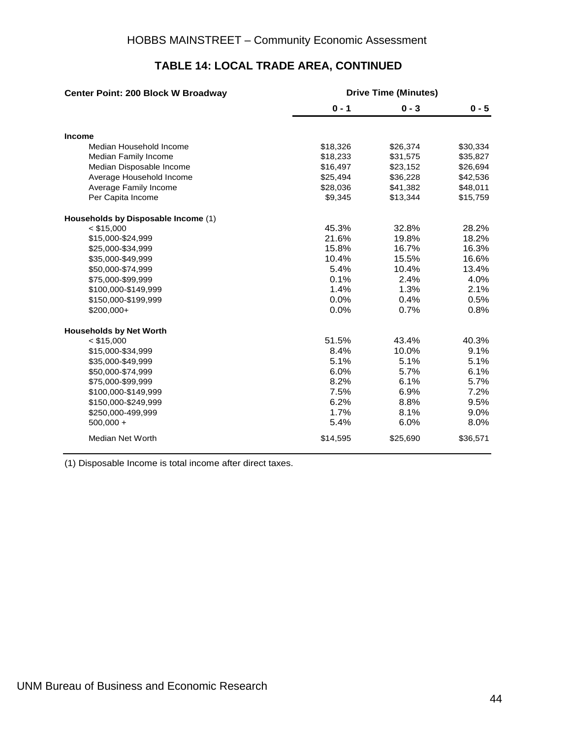| Center Point: 200 Block W Broadway  | <b>Drive Time (Minutes)</b> |          |          |  |
|-------------------------------------|-----------------------------|----------|----------|--|
|                                     | $0 - 1$                     | $0 - 3$  | $0 - 5$  |  |
| Income                              |                             |          |          |  |
| Median Household Income             | \$18,326                    | \$26,374 | \$30,334 |  |
| Median Family Income                | \$18,233                    | \$31,575 | \$35,827 |  |
| Median Disposable Income            | \$16,497                    | \$23,152 | \$26,694 |  |
| Average Household Income            | \$25,494                    | \$36,228 | \$42,536 |  |
| Average Family Income               | \$28,036                    | \$41,382 | \$48,011 |  |
| Per Capita Income                   | \$9,345                     | \$13,344 | \$15,759 |  |
| Households by Disposable Income (1) |                             |          |          |  |
| $<$ \$15,000                        | 45.3%                       | 32.8%    | 28.2%    |  |
| \$15,000-\$24,999                   | 21.6%                       | 19.8%    | 18.2%    |  |
| \$25,000-\$34,999                   | 15.8%                       | 16.7%    | 16.3%    |  |
| \$35,000-\$49,999                   | 10.4%                       | 15.5%    | 16.6%    |  |
| \$50,000-\$74,999                   | 5.4%                        | 10.4%    | 13.4%    |  |
| \$75,000-\$99,999                   | 0.1%                        | 2.4%     | 4.0%     |  |
| \$100,000-\$149,999                 | 1.4%                        | 1.3%     | 2.1%     |  |
| \$150,000-\$199,999                 | 0.0%                        | 0.4%     | 0.5%     |  |
| $$200,000+$                         | 0.0%                        | 0.7%     | 0.8%     |  |
| <b>Households by Net Worth</b>      |                             |          |          |  |
| $<$ \$15,000                        | 51.5%                       | 43.4%    | 40.3%    |  |
| \$15,000-\$34,999                   | 8.4%                        | 10.0%    | 9.1%     |  |
| \$35,000-\$49,999                   | 5.1%                        | 5.1%     | 5.1%     |  |
| \$50,000-\$74,999                   | 6.0%                        | 5.7%     | 6.1%     |  |
| \$75,000-\$99,999                   | 8.2%                        | 6.1%     | 5.7%     |  |
| \$100,000-\$149,999                 | 7.5%                        | 6.9%     | 7.2%     |  |
| \$150,000-\$249,999                 | 6.2%                        | 8.8%     | 9.5%     |  |
| \$250,000-499,999                   | 1.7%                        | 8.1%     | 9.0%     |  |
| $500,000 +$                         | 5.4%                        | 6.0%     | 8.0%     |  |
| <b>Median Net Worth</b>             | \$14,595                    | \$25,690 | \$36,571 |  |

## **TABLE 14: LOCAL TRADE AREA, CONTINUED**

(1) Disposable Income is total income after direct taxes.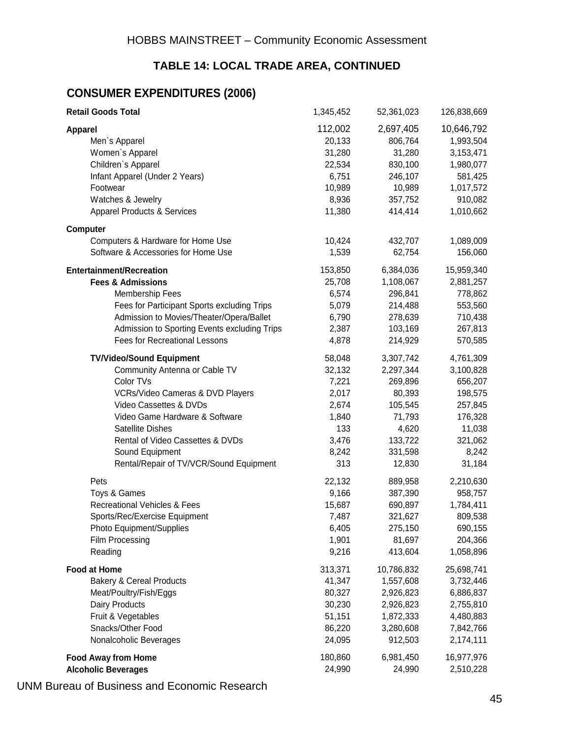## **TABLE 14: LOCAL TRADE AREA, CONTINUED**

#### **CONSUMER EXPENDITURES (2006)**

| <b>Retail Goods Total</b>                    | 1,345,452 | 52,361,023 | 126,838,669 |
|----------------------------------------------|-----------|------------|-------------|
| <b>Apparel</b>                               | 112,002   | 2,697,405  | 10,646,792  |
| Men's Apparel                                | 20,133    | 806,764    | 1,993,504   |
| Women's Apparel                              | 31,280    | 31,280     | 3,153,471   |
| Children's Apparel                           | 22,534    | 830,100    | 1,980,077   |
| Infant Apparel (Under 2 Years)               | 6,751     | 246,107    | 581,425     |
| Footwear                                     | 10,989    | 10,989     | 1,017,572   |
| Watches & Jewelry                            | 8,936     | 357,752    | 910,082     |
| <b>Apparel Products &amp; Services</b>       | 11,380    | 414,414    | 1,010,662   |
| <b>Computer</b>                              |           |            |             |
| Computers & Hardware for Home Use            | 10,424    | 432,707    | 1,089,009   |
| Software & Accessories for Home Use          | 1,539     | 62,754     | 156,060     |
| <b>Entertainment/Recreation</b>              | 153,850   | 6,384,036  | 15,959,340  |
| <b>Fees &amp; Admissions</b>                 | 25,708    | 1,108,067  | 2,881,257   |
| Membership Fees                              | 6,574     | 296,841    | 778,862     |
| Fees for Participant Sports excluding Trips  | 5,079     | 214,488    | 553,560     |
| Admission to Movies/Theater/Opera/Ballet     | 6,790     | 278,639    | 710,438     |
| Admission to Sporting Events excluding Trips | 2,387     | 103,169    | 267,813     |
| <b>Fees for Recreational Lessons</b>         | 4,878     | 214,929    | 570,585     |
| <b>TV/Video/Sound Equipment</b>              | 58,048    | 3,307,742  | 4,761,309   |
| Community Antenna or Cable TV                | 32,132    | 2,297,344  | 3,100,828   |
| Color TVs                                    | 7,221     | 269,896    | 656,207     |
| VCRs/Video Cameras & DVD Players             | 2,017     | 80,393     | 198,575     |
| Video Cassettes & DVDs                       | 2,674     | 105,545    | 257,845     |
| Video Game Hardware & Software               | 1,840     | 71,793     | 176,328     |
| Satellite Dishes                             | 133       | 4,620      | 11,038      |
| Rental of Video Cassettes & DVDs             | 3,476     | 133,722    | 321,062     |
| Sound Equipment                              | 8,242     | 331,598    | 8,242       |
| Rental/Repair of TV/VCR/Sound Equipment      | 313       | 12,830     | 31,184      |
| Pets                                         | 22,132    | 889,958    | 2,210,630   |
| Toys & Games                                 | 9,166     | 387,390    | 958,757     |
| <b>Recreational Vehicles &amp; Fees</b>      | 15,687    | 690,897    | 1,784,411   |
| Sports/Rec/Exercise Equipment                | 7,487     | 321,627    | 809,538     |
| Photo Equipment/Supplies                     | 6,405     | 275,150    | 690,155     |
| Film Processing                              | 1,901     | 81,697     | 204,366     |
| Reading                                      | 9,216     | 413,604    | 1,058,896   |
| <b>Food at Home</b>                          | 313,371   | 10,786,832 | 25,698,741  |
| <b>Bakery &amp; Cereal Products</b>          | 41,347    | 1,557,608  | 3,732,446   |
| Meat/Poultry/Fish/Eggs                       | 80,327    | 2,926,823  | 6,886,837   |
| Dairy Products                               | 30,230    | 2,926,823  | 2,755,810   |
| Fruit & Vegetables                           | 51,151    | 1,872,333  | 4,480,883   |
| Snacks/Other Food                            | 86,220    | 3,280,608  | 7,842,766   |
| Nonalcoholic Beverages                       | 24,095    | 912,503    | 2,174,111   |
| <b>Food Away from Home</b>                   | 180,860   | 6,981,450  | 16,977,976  |
| <b>Alcoholic Beverages</b>                   | 24,990    | 24,990     | 2,510,228   |
|                                              |           |            |             |

UNM Bureau of Business and Economic Research